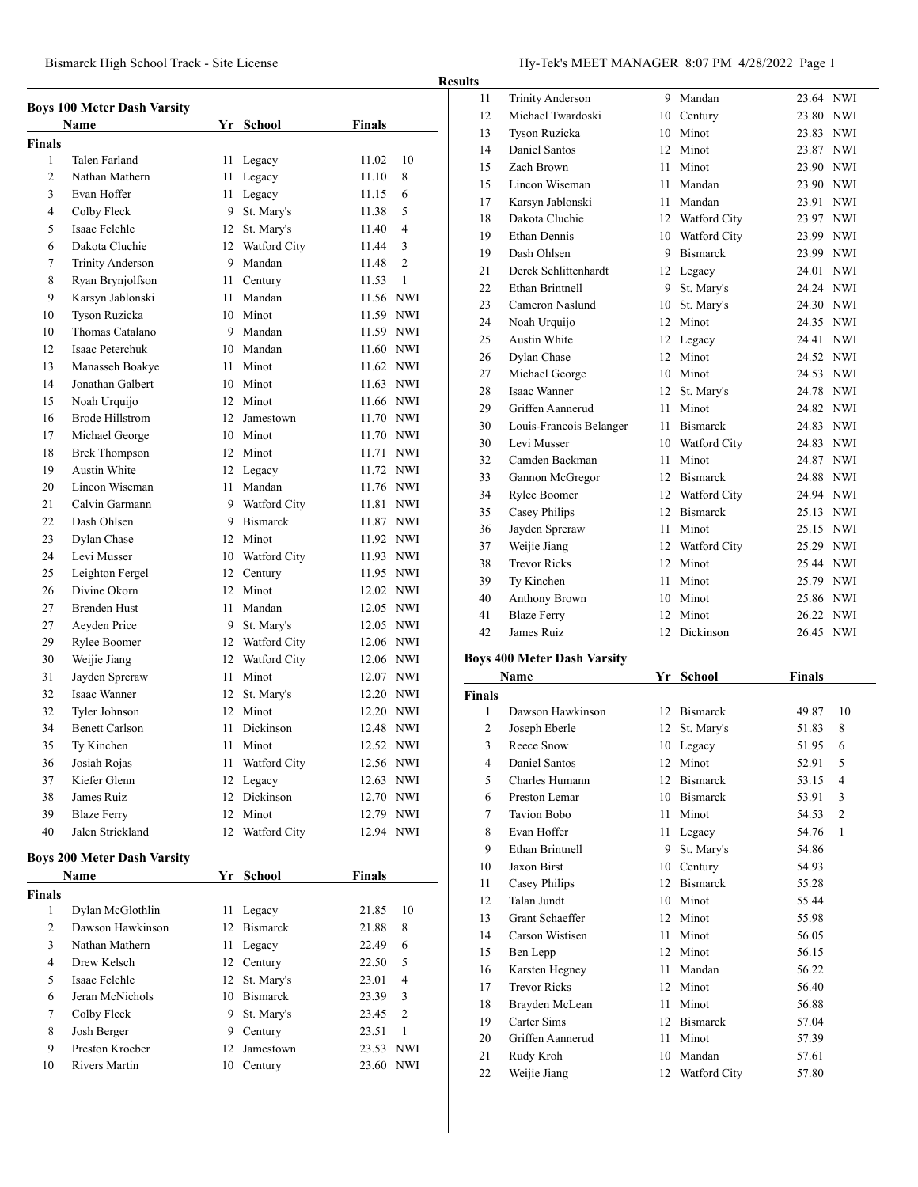| Bismarck High School Track - Site License | Hy-Tek's MEET MANAGER 8:07 PM 4/28/2022 Page 1 |
|-------------------------------------------|------------------------------------------------|
|                                           |                                                |

**Results**

|                               | <b>Boys 100 Meter Dash Varsity</b> |      |                 |               |                |
|-------------------------------|------------------------------------|------|-----------------|---------------|----------------|
|                               | Name                               |      | Yr School       | <b>Finals</b> |                |
| <b>Finals</b><br>$\mathbf{1}$ | Talen Farland                      | 11   | Legacy          | 11.02         | 10             |
| $\overline{c}$                | Nathan Mathern                     | 11   | Legacy          | 11.10         | 8              |
| 3                             | Evan Hoffer                        | 11 - | Legacy          | 11.15         | 6              |
| $\overline{4}$                | Colby Fleck                        | 9    | St. Mary's      | 11.38         | 5              |
| 5                             | Isaac Felchle                      |      | St. Mary's      | 11.40         | $\overline{4}$ |
|                               | Dakota Cluchie                     | 12   |                 |               | 3              |
| 6                             |                                    |      | 12 Watford City | 11.44         | $\overline{c}$ |
| 7                             | <b>Trinity Anderson</b>            |      | 9 Mandan        | 11.48         |                |
| 8                             | Ryan Brynjolfson                   |      | 11 Century      | 11.53         | 1              |
| 9                             | Karsyn Jablonski                   |      | 11 Mandan       | 11.56 NWI     |                |
| 10                            | Tyson Ruzicka                      |      | 10 Minot        | 11.59 NWI     |                |
| 10                            | Thomas Catalano                    |      | 9 Mandan        | 11.59 NWI     |                |
| 12                            | Isaac Peterchuk                    |      | 10 Mandan       | 11.60 NWI     |                |
| 13                            | Manasseh Boakye                    |      | 11 Minot        | 11.62 NWI     |                |
| 14                            | Jonathan Galbert                   |      | 10 Minot        | 11.63 NWI     |                |
| 15                            | Noah Urquijo                       |      | 12 Minot        | 11.66 NWI     |                |
| 16                            | <b>Brode Hillstrom</b>             |      | 12 Jamestown    | 11.70 NWI     |                |
| 17                            | Michael George                     |      | 10 Minot        | 11.70 NWI     |                |
| 18                            | <b>Brek Thompson</b>               |      | 12 Minot        | 11.71 NWI     |                |
| 19                            | <b>Austin White</b>                |      | 12 Legacy       | 11.72 NWI     |                |
| 20                            | Lincon Wiseman                     | 11 - | Mandan          | 11.76 NWI     |                |
| 21                            | Calvin Garmann                     |      | 9 Watford City  | 11.81 NWI     |                |
| 22                            | Dash Ohlsen                        |      | 9 Bismarck      | 11.87 NWI     |                |
| 23                            | Dylan Chase                        |      | 12 Minot        | 11.92 NWI     |                |
| 24                            | Levi Musser                        |      | 10 Watford City | 11.93 NWI     |                |
| 25                            | Leighton Fergel                    |      | 12 Century      | 11.95 NWI     |                |
| 26                            | Divine Okorn                       |      | 12 Minot        | 12.02 NWI     |                |
| 27                            | <b>Brenden Hust</b>                | 11 - | Mandan          | 12.05 NWI     |                |
| 27                            | Aeyden Price                       | 9    | St. Mary's      | 12.05 NWI     |                |
| 29                            | Rylee Boomer                       |      | 12 Watford City | 12.06 NWI     |                |
| 30                            | Weijie Jiang                       |      | 12 Watford City | 12.06 NWI     |                |
| 31                            | Jayden Spreraw                     | 11 - | Minot           | 12.07 NWI     |                |
| 32                            | Isaac Wanner                       | 12   | St. Mary's      | 12.20 NWI     |                |
| 32                            | Tyler Johnson                      |      | 12 Minot        | 12.20 NWI     |                |
| 34                            | <b>Benett Carlson</b>              | 11   | Dickinson       | 12.48 NWI     |                |
| 35                            | Ty Kinchen                         | 11   | Minot           | 12.52 NWI     |                |
| 36                            | Josiah Rojas                       |      | 11 Watford City | 12.56 NWI     |                |
| 37                            | Kiefer Glenn                       |      | 12 Legacy       | 12.63 NWI     |                |
| 38                            | James Ruiz                         |      | 12 Dickinson    | 12.70 NWI     |                |
| 39                            | <b>Blaze Ferry</b>                 |      | 12 Minot        | 12.79 NWI     |                |
| 40                            | Jalen Strickland                   |      | 12 Watford City | 12.94 NWI     |                |
|                               |                                    |      |                 |               |                |
|                               | <b>Boys 200 Meter Dash Varsity</b> |      |                 |               |                |
|                               | Name                               |      | Yr School       | <b>Finals</b> |                |
| Finals                        |                                    |      |                 |               |                |
| 1                             | Dylan McGlothlin                   | 11   | Legacy          | 21.85         | 10             |
| 2                             | Dawson Hawkinson                   | 12   | <b>Bismarck</b> | 21.88         | 8              |
| 3                             | Nathan Mathern                     | 11 - | Legacy          | 22.49         | 6              |
| $\overline{4}$                | Drew Kelsch                        |      | 12 Century      | 22.50         | 5              |
| 5                             | Isaac Felchle                      | 12   | St. Mary's      | 23.01         | 4              |
| 6                             | Jeran McNichols                    |      | 10 Bismarck     | 23.39         | 3              |
| 7                             | Colby Fleck                        | 9    | St. Mary's      | 23.45         | $\overline{2}$ |
| 8                             | Josh Berger                        |      | 9 Century       | 23.51         | $\mathbf{1}$   |
| 9                             | Preston Kroeber                    | 12   | Jamestown       | 23.53 NWI     |                |
|                               |                                    |      |                 |               |                |

| э  |                         |    |                 |           |            |
|----|-------------------------|----|-----------------|-----------|------------|
| 11 | <b>Trinity Anderson</b> | 9  | Mandan          | 23.64 NWI |            |
| 12 | Michael Twardoski       | 10 | Century         | 23.80     | <b>NWI</b> |
| 13 | Tyson Ruzicka           | 10 | Minot           | 23.83     | <b>NWI</b> |
| 14 | Daniel Santos           | 12 | Minot           | 23.87     | <b>NWI</b> |
| 15 | Zach Brown              | 11 | Minot           | 23.90     | <b>NWI</b> |
| 15 | Lincon Wiseman          | 11 | Mandan          | 23.90     | <b>NWI</b> |
| 17 | Karsyn Jablonski        | 11 | Mandan          | 23.91     | <b>NWI</b> |
| 18 | Dakota Cluchie          |    | 12 Watford City | 23.97     | <b>NWI</b> |
| 19 | <b>Ethan Dennis</b>     | 10 | Watford City    | 23.99     | <b>NWI</b> |
| 19 | Dash Ohlsen             | 9  | <b>Bismarck</b> | 23.99     | <b>NWI</b> |
| 21 | Derek Schlittenhardt    | 12 | Legacy          | 24.01     | <b>NWI</b> |
| 22 | Ethan Brintnell         | 9  | St. Mary's      | 24.24     | <b>NWI</b> |
| 23 | Cameron Naslund         | 10 | St. Mary's      | 24.30     | <b>NWI</b> |
| 24 | Noah Urquijo            | 12 | Minot           | 24.35 NWI |            |
| 25 | Austin White            | 12 | Legacy          | 24.41     | <b>NWI</b> |
| 26 | Dylan Chase             | 12 | Minot           | 24.52     | <b>NWI</b> |
| 27 | Michael George          | 10 | Minot           | 24.53     | <b>NWI</b> |
| 28 | <b>Isaac Wanner</b>     | 12 | St. Mary's      | 24.78     | <b>NWI</b> |
| 29 | Griffen Aannerud        | 11 | Minot           | 24.82     | <b>NWI</b> |
| 30 | Louis-Francois Belanger | 11 | <b>Bismarck</b> | 24.83     | <b>NWI</b> |
| 30 | Levi Musser             | 10 | Watford City    | 24.83 NWI |            |
| 32 | Camden Backman          | 11 | Minot           | 24.87     | <b>NWI</b> |
| 33 | Gannon McGregor         | 12 | <b>Bismarck</b> | 24.88     | <b>NWI</b> |
| 34 | Rylee Boomer            | 12 | Watford City    | 24.94     | <b>NWI</b> |
| 35 | Casey Philips           | 12 | <b>Bismarck</b> | 25.13 NWI |            |
| 36 | Jayden Spreraw          | 11 | Minot           | 25.15     | <b>NWI</b> |
| 37 | Weijie Jiang            | 12 | Watford City    | 25.29     | <b>NWI</b> |
| 38 | <b>Trevor Ricks</b>     | 12 | Minot           | 25.44 NWI |            |
| 39 | Ty Kinchen              | 11 | Minot           | 25.79     | <b>NWI</b> |
| 40 | <b>Anthony Brown</b>    | 10 | Minot           | 25.86     | <b>NWI</b> |
| 41 | <b>Blaze Ferry</b>      | 12 | Minot           | 26.22 NWI |            |
| 42 | James Ruiz              | 12 | Dickinson       | 26.45     | <b>NWI</b> |
|    |                         |    |                 |           |            |

# **Boys 400 Meter Dash Varsity**

| <b>Name</b>   |                     | Yr | School              | Finals |                |
|---------------|---------------------|----|---------------------|--------|----------------|
| <b>Finals</b> |                     |    |                     |        |                |
| 1             | Dawson Hawkinson    | 12 | <b>Bismarck</b>     | 49.87  | 10             |
| 2             | Joseph Eberle       | 12 | St. Mary's          | 51.83  | 8              |
| 3             | Reece Snow          | 10 | Legacy              | 51.95  | 6              |
| 4             | Daniel Santos       | 12 | Minot               | 52.91  | 5              |
| 5             | Charles Humann      | 12 | <b>Bismarck</b>     | 53.15  | 4              |
| 6             | Preston Lemar       | 10 | <b>Bismarck</b>     | 53.91  | 3              |
| 7             | <b>Tavion Bobo</b>  | 11 | Minot               | 54.53  | $\overline{2}$ |
| 8             | Evan Hoffer         | 11 | Legacy              | 54.76  | 1              |
| 9             | Ethan Brintnell     | 9  | St. Mary's          | 54.86  |                |
| 10            | <b>Jaxon Birst</b>  | 10 | Century             | 54.93  |                |
| 11            | Casey Philips       | 12 | <b>Bismarck</b>     | 55.28  |                |
| 12            | Talan Jundt         | 10 | Minot               | 55.44  |                |
| 13            | Grant Schaeffer     | 12 | Minot               | 55.98  |                |
| 14            | Carson Wistisen     | 11 | Minot               | 56.05  |                |
| 15            | Ben Lepp            | 12 | Minot               | 56.15  |                |
| 16            | Karsten Hegney      | 11 | Mandan              | 56.22  |                |
| 17            | <b>Trevor Ricks</b> | 12 | Minot               | 56.40  |                |
| 18            | Brayden McLean      | 11 | Minot               | 56.88  |                |
| 19            | Carter Sims         | 12 | <b>Bismarck</b>     | 57.04  |                |
| 20            | Griffen Aannerud    | 11 | Minot               | 57.39  |                |
| 21            | Rudy Kroh           | 10 | Mandan              | 57.61  |                |
| 22            | Weiiie Jiang        | 12 | <b>Watford City</b> | 57.80  |                |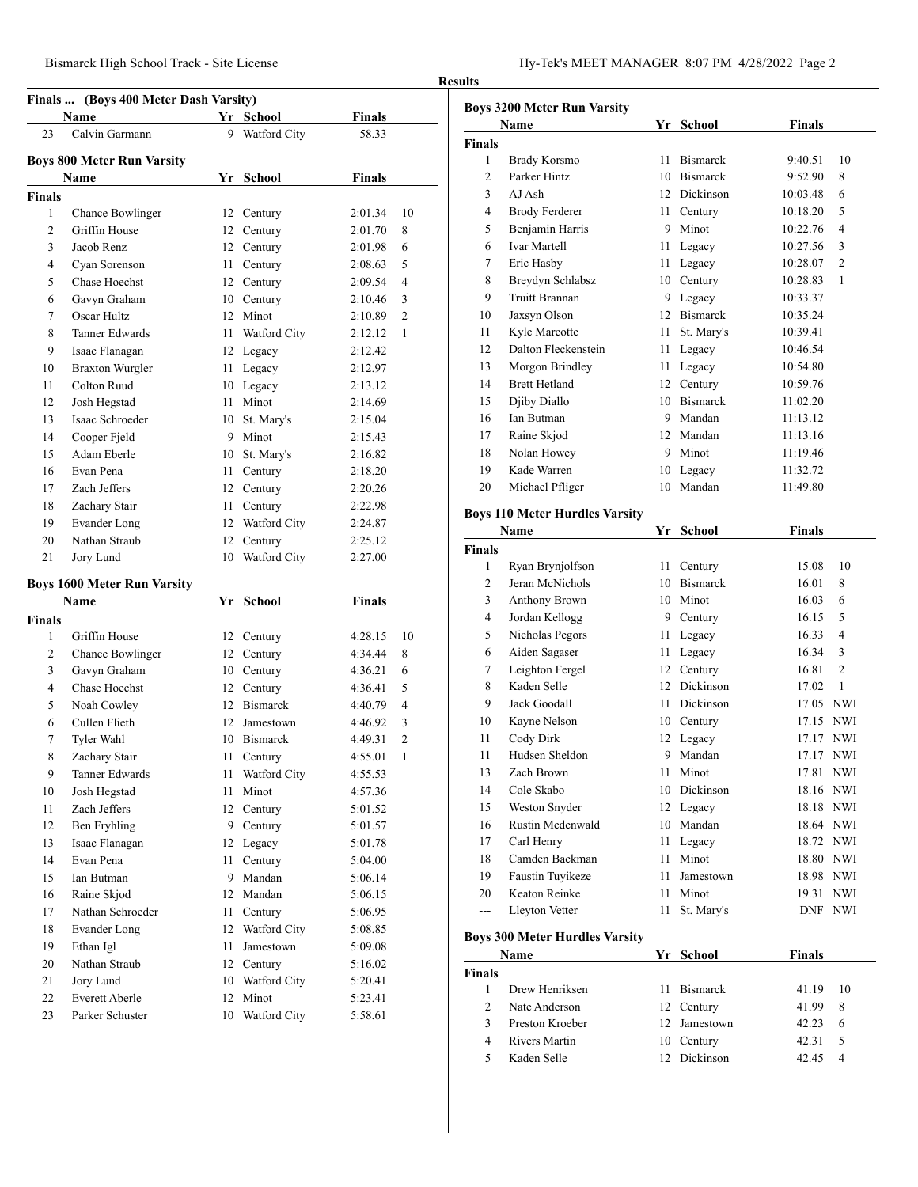# **Finals** ... (Boys 400 Meter Dash Varsity)

|                | Name                               |      | Yr School     | Finals        |                |
|----------------|------------------------------------|------|---------------|---------------|----------------|
| 23             | Calvin Garmann                     | 9    | Watford City  | 58.33         |                |
|                | Boys 800 Meter Run Varsity         |      |               |               |                |
|                | Name                               | Yr   | School        | <b>Finals</b> |                |
| <b>Finals</b>  |                                    |      |               |               |                |
| 1              | Chance Bowlinger                   |      | 12 Century    | 2:01.34       | 10             |
| $\overline{2}$ | Griffin House                      |      | 12 Century    | 2:01.70       | 8              |
| 3              | Jacob Renz                         |      | 12 Century    | 2:01.98       | 6              |
| $\overline{4}$ | Cyan Sorenson                      | 11 - | Century       | 2:08.63       | 5              |
| 5              | Chase Hoechst                      |      | 12 Century    | 2:09.54       | 4              |
| 6              | Gavyn Graham                       |      | 10 Century    | 2:10.46       | 3              |
| 7              | Oscar Hultz                        |      | 12 Minot      | 2:10.89       | $\overline{c}$ |
| 8              | <b>Tanner Edwards</b>              | 11 - | Watford City  | 2:12.12       | 1              |
| 9              | Isaac Flanagan                     |      | 12 Legacy     | 2:12.42       |                |
| 10             | <b>Braxton Wurgler</b>             |      | 11 Legacy     | 2:12.97       |                |
| 11             | Colton Ruud                        |      | 10 Legacy     | 2:13.12       |                |
| 12             | Josh Hegstad                       |      | 11 Minot      | 2:14.69       |                |
| 13             | Isaac Schroeder                    |      | 10 St. Mary's | 2:15.04       |                |
| 14             | Cooper Fjeld                       |      | 9 Minot       | 2:15.43       |                |
| 15             | Adam Eberle                        |      | 10 St. Mary's | 2:16.82       |                |
| 16             | Evan Pena                          | 11 - | Century       | 2:18.20       |                |
| 17             | Zach Jeffers                       |      | 12 Century    | 2:20.26       |                |
| 18             | Zachary Stair                      | 11 - | Century       | 2:22.98       |                |
| 19             | Evander Long                       | 12   | Watford City  | 2:24.87       |                |
| 20             | Nathan Straub                      | 12   | Century       | 2:25.12       |                |
| 21             | Jory Lund                          | 10   | Watford City  | 2:27.00       |                |
|                | <b>Boys 1600 Meter Run Varsity</b> |      |               |               |                |
|                | Name                               | Yr   | <b>School</b> | <b>Finals</b> |                |
| Finals         |                                    |      |               |               |                |
| 1              | Griffin House                      |      | 12 Century    | 4:28.15       | 10             |
| 2              | <b>Chance Bowlinger</b>            |      | 12 Century    | 4:34.44       | 8              |
| 3              | Gavyn Graham                       |      | 10 Century    | 4:36.21       | 6              |
| $\overline{4}$ | Chase Hoechst                      |      | 12 Century    | 4:36.41       | 5              |
| 5              | Noah Cowley                        |      | 12 Bismarck   | 4:40.79       | $\overline{4}$ |
| 6              | Cullen Flieth                      |      | 12 Jamestown  | 4:46.92       | 3              |
| 7              | Tyler Wahl                         |      | 10 Bismarck   | 4:49.31       | 2              |
| 8              | Zachary Stair                      | 11 - | Century       | 4:55.01       | 1              |
| 9              | Tanner Edwards                     | 11   | Watford City  | 4:55.53       |                |
| 10             | Josh Hegstad                       | 11   | Minot         | 4:57.36       |                |
| 11             | Zach Jeffers                       | 12   | Century       | 5:01.52       |                |
| 12             | Ben Fryhling                       |      | 9 Century     | 5:01.57       |                |
| 13             | Isaac Flanagan                     |      | 12 Legacy     | 5:01.78       |                |
| 14             | Evan Pena                          | 11   | Century       | 5:04.00       |                |
| 15             | Ian Butman                         |      | 9 Mandan      | 5:06.14       |                |
| 16             | Raine Skjod                        |      | 12 Mandan     | 5:06.15       |                |
| 17             | Nathan Schroeder                   | 11   | Century       | 5:06.95       |                |
| 18             | Evander Long                       | 12   | Watford City  | 5:08.85       |                |
| 19             | Ethan Igl                          | 11   | Jamestown     | 5:09.08       |                |
| 20             | Nathan Straub                      | 12   | Century       | 5:16.02       |                |
| 21             | Jory Lund                          | 10   | Watford City  | 5:20.41       |                |
| 22             | Everett Aberle                     | 12   | Minot         | 5:23.41       |                |
| 23             | Parker Schuster                    | 10   | Watford City  | 5:58.61       |                |
|                |                                    |      |               |               |                |

|                        | <b>Boys 3200 Meter Run Varsity</b>            |    |                 |               |                |
|------------------------|-----------------------------------------------|----|-----------------|---------------|----------------|
|                        | Name                                          | Yr | <b>School</b>   | <b>Finals</b> |                |
| <b>Finals</b>          |                                               |    |                 |               |                |
| $\mathbf{1}$           | <b>Brady Korsmo</b>                           | 11 | <b>Bismarck</b> | 9:40.51       | 10             |
| 2                      | Parker Hintz                                  |    | 10 Bismarck     | 9:52.90       | 8              |
| 3                      | AJ Ash                                        |    | 12 Dickinson    | 10:03.48      | 6              |
| 4                      | <b>Brody Ferderer</b>                         | 11 | Century         | 10:18.20      | 5              |
| 5                      | Benjamin Harris                               | 9  | Minot           | 10:22.76      | 4              |
| 6                      | <b>Ivar Martell</b>                           | 11 | Legacy          | 10:27.56      | 3              |
| 7                      | Eric Hasby                                    | 11 | Legacy          | 10:28.07      | $\overline{2}$ |
| 8                      | Breydyn Schlabsz                              | 10 | Century         | 10:28.83      | 1              |
| 9                      | <b>Truitt Brannan</b>                         | 9  | Legacy          | 10:33.37      |                |
| 10                     | Jaxsyn Olson                                  |    | 12 Bismarck     | 10:35.24      |                |
| 11                     | Kyle Marcotte                                 | 11 | St. Mary's      | 10:39.41      |                |
| 12                     | Dalton Fleckenstein                           | 11 | Legacy          | 10:46.54      |                |
| 13                     | Morgon Brindley                               | 11 | Legacy          | 10:54.80      |                |
| 14                     | <b>Brett Hetland</b>                          |    | 12 Century      | 10:59.76      |                |
| 15                     | Djiby Diallo                                  | 10 | <b>Bismarck</b> | 11:02.20      |                |
| 16                     | Ian Butman                                    | 9  | Mandan          | 11:13.12      |                |
| 17                     | Raine Skjod                                   | 12 | Mandan          | 11:13.16      |                |
| 18                     | Nolan Howey                                   | 9  | Minot           | 11:19.46      |                |
| 19                     | Kade Warren                                   | 10 | Legacy          | 11:32.72      |                |
| 20                     | Michael Pfliger                               | 10 | Mandan          | 11:49.80      |                |
|                        |                                               |    |                 |               |                |
|                        | <b>Boys 110 Meter Hurdles Varsity</b><br>Name | Yr | <b>School</b>   | <b>Finals</b> |                |
|                        |                                               |    |                 |               |                |
| Finals<br>$\mathbf{1}$ | Ryan Brynjolfson                              | 11 | Century         | 15.08         | 10             |
| $\overline{c}$         | Jeran McNichols                               |    | 10 Bismarck     | 16.01         | 8              |
| 3                      | Anthony Brown                                 |    | 10 Minot        | 16.03         | 6              |
| 4                      | Jordan Kellogg                                |    | 9 Century       | 16.15         | 5              |
| 5                      |                                               |    |                 | 16.33         | 4              |
|                        | Nicholas Pegors                               | 11 | Legacy          |               |                |
| 6                      | Aiden Sagaser                                 | 11 | Legacy          | 16.34         | 3              |
| 7                      | Leighton Fergel                               | 12 | Century         | 16.81         | 2              |
| 8                      | Kaden Selle                                   | 12 | Dickinson       | 17.02         | 1              |
| 9                      | Jack Goodall                                  | 11 | Dickinson       |               | 17.05 NWI      |
| 10                     | Kayne Nelson                                  | 10 | Century         | 17.15         | NWI            |
| 11                     | Cody Dirk                                     |    | 12 Legacy       | 17.17         | NWI            |
| 11                     | Hudsen Sheldon                                |    | 9 Mandan        | 17.17 NWI     |                |
| 13                     | Zach Brown                                    | 11 | Minot           | 17.81         | NWI            |
| 14                     | Cole Skabo                                    |    | 10 Dickinson    |               | 18.16 NWI      |
| 15                     | Weston Snyder                                 |    | 12 Legacy       |               | 18.18 NWI      |
| 16                     | Rustin Medenwald                              |    | 10 Mandan       |               | 18.64 NWI      |
| 17                     | Carl Henry                                    |    | 11 Legacy       |               | 18.72 NWI      |
| 18                     | Camden Backman                                | 11 | Minot           |               | 18.80 NWI      |
| 19                     | Faustin Tuyikeze                              | 11 | Jamestown       |               | 18.98 NWI      |
| 20                     | Keaton Reinke                                 | 11 | Minot           | 19.31         | NWI            |
| $---$                  | Lleyton Vetter                                | 11 | St. Mary's      |               | DNF NWI        |
|                        | <b>Boys 300 Meter Hurdles Varsity</b>         |    |                 |               |                |
|                        | Name                                          |    | Yr School       | <b>Finals</b> |                |
| Finals                 |                                               |    |                 |               |                |
| $\mathbf{1}$           | Drew Henriksen                                | 11 | <b>Bismarck</b> | 41.19         | 10             |
| $\overline{c}$         | Nate Anderson                                 |    | 12 Century      | 41.99         | 8              |
| 3                      | Preston Kroeber                               |    | 12 Jamestown    | 42.23         | 6              |
| $\overline{4}$         | Rivers Martin                                 |    | 10 Century      | 42.31         | 5              |
|                        |                                               |    |                 | 42.45         |                |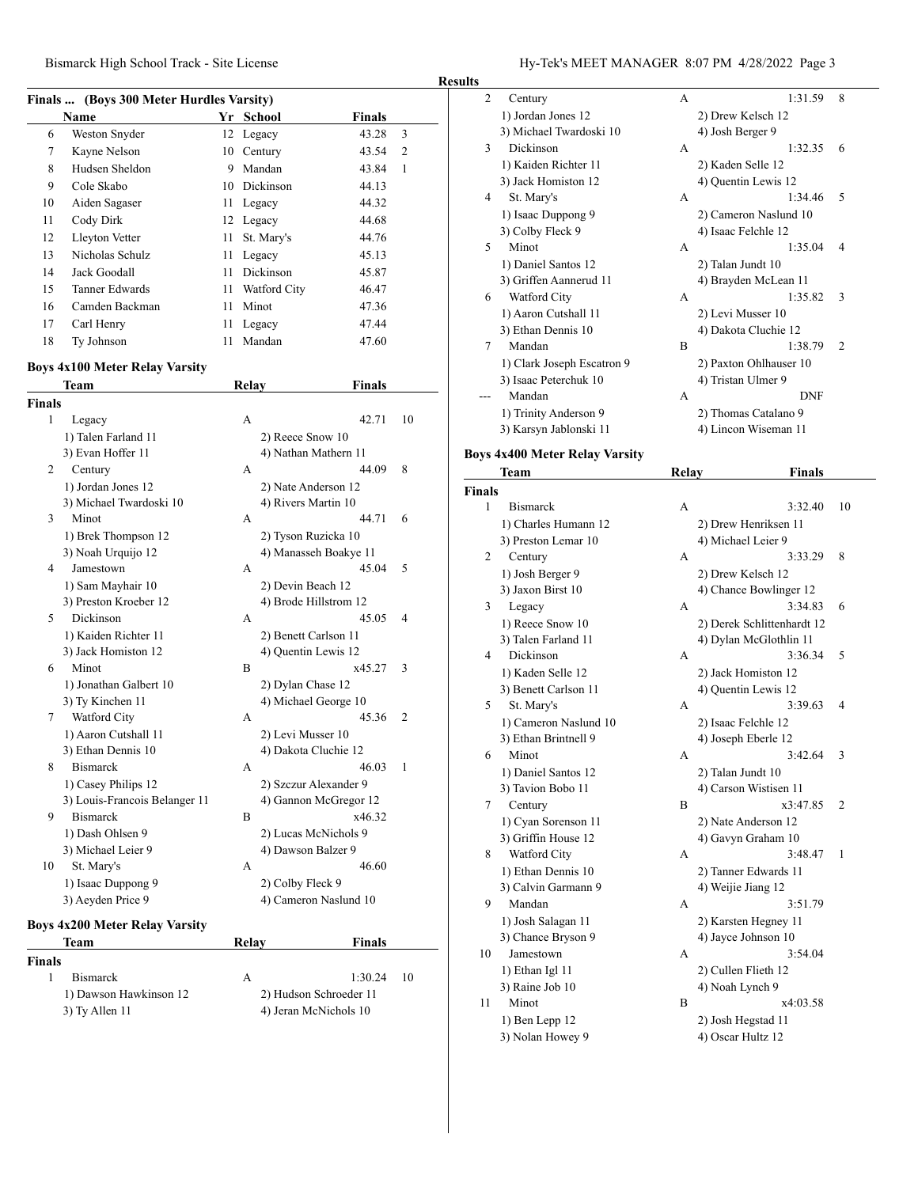### **Finals ... (Boys 300 Meter Hurdles Varsity)**

|    | $\frac{1}{2}$   |      |              |               |   |  |  |  |
|----|-----------------|------|--------------|---------------|---|--|--|--|
|    | <b>Name</b>     | Yr   | School       | <b>Finals</b> |   |  |  |  |
| 6  | Weston Snyder   |      | 12 Legacy    | 43.28         | 3 |  |  |  |
| 7  | Kayne Nelson    |      | 10 Century   | 43.54         | 2 |  |  |  |
| 8  | Hudsen Sheldon  | 9    | Mandan       | 43.84         | 1 |  |  |  |
| 9  | Cole Skabo      |      | 10 Dickinson | 44.13         |   |  |  |  |
| 10 | Aiden Sagaser   |      | 11 Legacy    | 44.32         |   |  |  |  |
| 11 | Cody Dirk       |      | 12 Legacy    | 44.68         |   |  |  |  |
| 12 | Lleyton Vetter  | 11 - | St. Mary's   | 44.76         |   |  |  |  |
| 13 | Nicholas Schulz | 11   | Legacy       | 45.13         |   |  |  |  |
| 14 | Jack Goodall    | 11.  | Dickinson    | 45.87         |   |  |  |  |
| 15 | Tanner Edwards  | 11   | Watford City | 46.47         |   |  |  |  |
| 16 | Camden Backman  | 11   | Minot        | 47.36         |   |  |  |  |
| 17 | Carl Henry      | 11   | Legacy       | 47.44         |   |  |  |  |
| 18 | Ty Johnson      | 11   | Mandan       | 47.60         |   |  |  |  |

### **Boys 4x100 Meter Relay Varsity**

|               | Team                                  | Relay | <b>Finals</b>          |              |
|---------------|---------------------------------------|-------|------------------------|--------------|
| <b>Finals</b> |                                       |       |                        |              |
| 1             | Legacy                                | А     | 42.71                  | 10           |
|               | 1) Talen Farland 11                   |       | 2) Reece Snow 10       |              |
|               | 3) Evan Hoffer 11                     |       | 4) Nathan Mathern 11   |              |
| 2             | Century                               | A     | 44.09                  | 8            |
|               | 1) Jordan Jones 12                    |       | 2) Nate Anderson 12    |              |
|               | 3) Michael Twardoski 10               |       | 4) Rivers Martin 10    |              |
| 3             | Minot                                 | A     | 44.71                  | 6            |
|               | 1) Brek Thompson 12                   |       | 2) Tyson Ruzicka 10    |              |
|               | 3) Noah Urquijo 12                    |       | 4) Manasseh Boakye 11  |              |
| 4             | Jamestown                             | A     | 45.04                  | 5            |
|               | 1) Sam Mayhair 10                     |       | 2) Devin Beach 12      |              |
|               | 3) Preston Kroeber 12                 |       | 4) Brode Hillstrom 12  |              |
| 5             | Dickinson                             | A     | 45.05                  | 4            |
|               | 1) Kaiden Richter 11                  |       | 2) Benett Carlson 11   |              |
|               | 3) Jack Homiston 12                   |       | 4) Quentin Lewis 12    |              |
| 6             | Minot                                 | B     | x45.27                 | 3            |
|               | 1) Jonathan Galbert 10                |       | 2) Dylan Chase 12      |              |
|               | 3) Ty Kinchen 11                      |       | 4) Michael George 10   |              |
| 7             | Watford City                          | A     | 45.36                  | 2            |
|               | 1) Aaron Cutshall 11                  |       | 2) Levi Musser 10      |              |
|               | 3) Ethan Dennis 10                    |       | 4) Dakota Cluchie 12   |              |
| 8             | <b>Bismarck</b>                       | A     | 46.03                  | $\mathbf{1}$ |
|               | 1) Casey Philips 12                   |       | 2) Szczur Alexander 9  |              |
|               | 3) Louis-Francois Belanger 11         |       | 4) Gannon McGregor 12  |              |
| 9             | <b>Bismarck</b>                       | B     | x46.32                 |              |
|               | 1) Dash Ohlsen 9                      |       | 2) Lucas McNichols 9   |              |
|               | 3) Michael Leier 9                    |       | 4) Dawson Balzer 9     |              |
| 10            | St. Mary's                            | A     | 46.60                  |              |
|               | 1) Isaac Duppong 9                    |       | 2) Colby Fleck 9       |              |
|               | 3) Aeyden Price 9                     |       | 4) Cameron Naslund 10  |              |
|               | <b>Boys 4x200 Meter Relay Varsity</b> |       |                        |              |
|               | Team                                  | Relay | <b>Finals</b>          |              |
| <b>Finals</b> |                                       |       |                        |              |
| 1             | <b>Bismarck</b>                       | А     | 1:30.24                | 10           |
|               | 1) Dawson Hawkinson 12                |       |                        |              |
|               |                                       |       | 2) Hudson Schroeder 11 |              |
|               | 3) Ty Allen 11                        |       | 4) Jeran McNichols 10  |              |

Bismarck High School Track - Site License Hy-Tek's MEET MANAGER 8:07 PM 4/28/2022 Page 3

| <b>Results</b> |                                                     |              |                                              |    |
|----------------|-----------------------------------------------------|--------------|----------------------------------------------|----|
| 2              | Century                                             | А            | 1:31.59                                      | 8  |
|                | 1) Jordan Jones 12                                  |              | 2) Drew Kelsch 12                            |    |
|                | 3) Michael Twardoski 10                             |              | 4) Josh Berger 9                             |    |
| 3              | Dickinson                                           | А            | 1:32.35                                      | 6  |
|                | 1) Kaiden Richter 11                                |              | 2) Kaden Selle 12                            |    |
|                | 3) Jack Homiston 12                                 |              | 4) Quentin Lewis 12                          |    |
| 4              | St. Mary's                                          | A            | 1:34.46                                      | 5  |
|                | 1) Isaac Duppong 9                                  |              | 2) Cameron Naslund 10                        |    |
|                | 3) Colby Fleck 9                                    |              | 4) Isaac Felchle 12                          |    |
| 5              | Minot                                               | А            | 1:35.04                                      | 4  |
|                | 1) Daniel Santos 12                                 |              | 2) Talan Jundt 10                            |    |
|                | 3) Griffen Aannerud 11                              |              | 4) Brayden McLean 11                         |    |
| 6              | Watford City                                        | А            | 1:35.82                                      | 3  |
|                | 1) Aaron Cutshall 11                                |              | 2) Levi Musser 10                            |    |
|                | 3) Ethan Dennis 10                                  |              | 4) Dakota Cluchie 12                         |    |
| 7              | Mandan                                              | B            | 1:38.79                                      | 2  |
|                |                                                     |              |                                              |    |
|                | 1) Clark Joseph Escatron 9<br>3) Isaac Peterchuk 10 |              | 2) Paxton Ohlhauser 10<br>4) Tristan Ulmer 9 |    |
|                | Mandan                                              |              | <b>DNF</b>                                   |    |
|                |                                                     | А            |                                              |    |
|                | 1) Trinity Anderson 9                               |              | 2) Thomas Catalano 9                         |    |
|                | 3) Karsyn Jablonski 11                              |              | 4) Lincon Wiseman 11                         |    |
|                | <b>Boys 4x400 Meter Relay Varsity</b>               |              |                                              |    |
|                | Team                                                | <b>Relay</b> | Finals                                       |    |
| <b>Finals</b>  |                                                     |              |                                              |    |
| 1              | <b>Bismarck</b>                                     | A            | 3:32.40                                      | 10 |
|                | 1) Charles Humann 12                                |              | 2) Drew Henriksen 11                         |    |
|                |                                                     |              |                                              |    |
|                | 3) Preston Lemar 10                                 |              | 4) Michael Leier 9                           |    |
| 2              | Century                                             | A            | 3:33.29                                      | 8  |
|                | 1) Josh Berger 9                                    |              | 2) Drew Kelsch 12                            |    |
|                | 3) Jaxon Birst 10                                   |              | 4) Chance Bowlinger 12                       |    |
| 3              | Legacy                                              | А            | 3:34.83                                      | 6  |
|                | 1) Reece Snow 10                                    |              | 2) Derek Schlittenhardt 12                   |    |
|                | 3) Talen Farland 11                                 |              | 4) Dylan McGlothlin 11                       |    |
| 4              | Dickinson                                           | A            | 3:36.34                                      | 5  |
|                | 1) Kaden Selle 12                                   |              | 2) Jack Homiston 12                          |    |
|                | 3) Benett Carlson 11                                |              | 4) Ouentin Lewis 12                          |    |
| 5              | St. Mary's                                          | A            | 3:39.63                                      | 4  |
|                | 1) Cameron Naslund 10                               |              | 2) Isaac Felchle 12                          |    |
|                | 3) Ethan Brintnell 9                                |              | 4) Joseph Eberle 12                          |    |
| 6              | Minot                                               | А            | 3:42.64                                      | 3  |
|                | 1) Daniel Santos 12                                 |              | 2) Talan Jundt 10                            |    |
|                | 3) Tavion Bobo 11                                   |              | 4) Carson Wistisen 11                        |    |
| 7              | Century                                             | B            | x3:47.85                                     | 2  |
|                | 1) Cyan Sorenson 11                                 |              | 2) Nate Anderson 12                          |    |
|                | 3) Griffin House 12                                 |              | 4) Gavyn Graham 10                           |    |
| 8              | Watford City                                        | А            | 3:48.47                                      | 1  |
|                | 1) Ethan Dennis 10                                  |              | 2) Tanner Edwards 11                         |    |
|                | 3) Calvin Garmann 9                                 |              | 4) Weijie Jiang 12                           |    |
| 9              | Mandan                                              | А            | 3:51.79                                      |    |
|                | 1) Josh Salagan 11                                  |              | 2) Karsten Hegney 11                         |    |
|                | 3) Chance Bryson 9                                  |              | 4) Jayce Johnson 10                          |    |
| 10             | Jamestown                                           | А            | 3:54.04                                      |    |
|                | 1) Ethan Igl 11                                     |              | 2) Cullen Flieth 12                          |    |

1) Ben Lepp 12 2) Josh Hegstad 11

11 Minot B x4:03.58

3) Nolan Howey 9 4) Oscar Hultz 12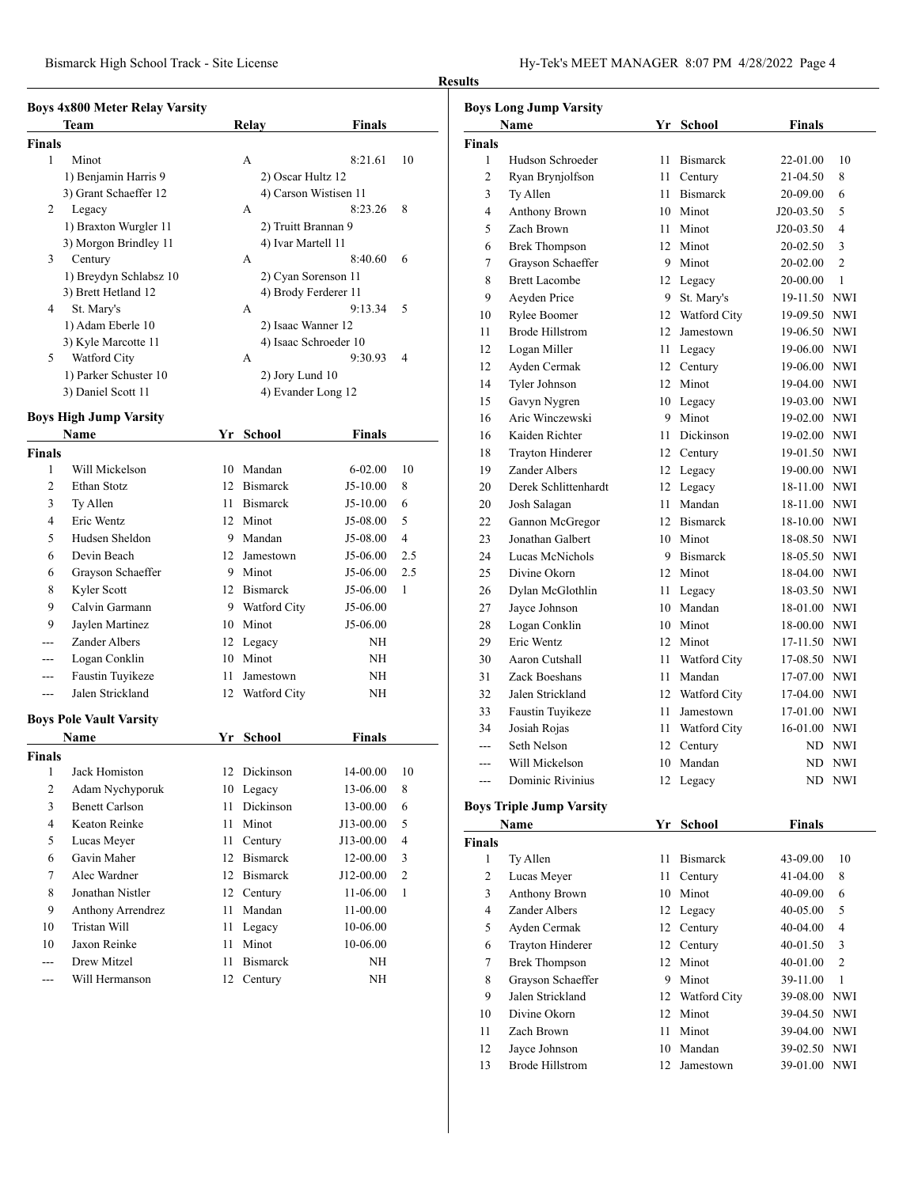|               | <b>Boys 4x800 Meter Relay Varsity</b> |                    |                       |  |  |  |
|---------------|---------------------------------------|--------------------|-----------------------|--|--|--|
|               | Team                                  | Relay              | <b>Finals</b>         |  |  |  |
| <b>Finals</b> |                                       |                    |                       |  |  |  |
| 1             | Minot                                 | А                  | 8:21.61<br>10         |  |  |  |
|               | 1) Benjamin Harris 9                  | 2) Oscar Hultz 12  |                       |  |  |  |
|               | 3) Grant Schaeffer 12                 |                    | 4) Carson Wistisen 11 |  |  |  |
| 2             | Legacy                                | A                  | 8:23.26<br>8          |  |  |  |
|               | 1) Braxton Wurgler 11                 |                    | 2) Truitt Brannan 9   |  |  |  |
|               | 3) Morgon Brindley 11                 | 4) Ivar Martell 11 |                       |  |  |  |
| 3             | Century                               | A                  | 8:40.60<br>6          |  |  |  |
|               | 1) Breydyn Schlabsz 10                |                    | 2) Cyan Sorenson 11   |  |  |  |
|               | 3) Brett Hetland 12                   |                    | 4) Brody Ferderer 11  |  |  |  |
| 4             | St. Mary's                            | A                  | 5<br>9:13.34          |  |  |  |
|               | 1) Adam Eberle 10                     |                    | 2) Isaac Wanner 12    |  |  |  |
|               | 3) Kyle Marcotte 11                   |                    | 4) Isaac Schroeder 10 |  |  |  |
| 5             | Watford City                          | A                  | 9:30.93<br>4          |  |  |  |
|               | 1) Parker Schuster 10                 | 2) Jory Lund 10    |                       |  |  |  |
|               | 3) Daniel Scott 11                    |                    | 4) Evander Long 12    |  |  |  |

### **Boys High Jump Varsity**

|                | роуз гиди әйшр тағыну          |    |                 |               |                |
|----------------|--------------------------------|----|-----------------|---------------|----------------|
|                | Name                           |    | Yr School       | <b>Finals</b> |                |
| <b>Finals</b>  |                                |    |                 |               |                |
| 1              | Will Mickelson                 | 10 | Mandan          | $6 - 02.00$   | 10             |
| $\overline{2}$ | <b>Ethan Stotz</b>             | 12 | <b>Bismarck</b> | $J5-10.00$    | 8              |
| 3              | Ty Allen                       | 11 | <b>Bismarck</b> | $J5-10.00$    | 6              |
| 4              | Eric Wentz                     |    | 12 Minot        | J5-08.00      | 5              |
| 5              | Hudsen Sheldon                 | 9  | Mandan          | J5-08.00      | $\overline{4}$ |
| 6              | Devin Beach                    | 12 | Jamestown       | J5-06.00      | 2.5            |
| 6              | Grayson Schaeffer              | 9  | Minot           | J5-06.00      | 2.5            |
| 8              | Kyler Scott                    | 12 | <b>Bismarck</b> | $J5-06.00$    | 1              |
| 9              | Calvin Garmann                 |    | 9 Watford City  | J5-06.00      |                |
| 9              | Jaylen Martinez                | 10 | Minot           | J5-06.00      |                |
| $---$          | Zander Albers                  | 12 | Legacy          | <b>NH</b>     |                |
| ---            | Logan Conklin                  | 10 | Minot           | <b>NH</b>     |                |
| ---            | Faustin Tuyikeze               | 11 | Jamestown       | NΗ            |                |
| ---            | Jalen Strickland               | 12 | Watford City    | NH            |                |
|                | <b>Boys Pole Vault Varsity</b> |    |                 |               |                |
|                | <b>Name</b>                    | Yr | <b>School</b>   | <b>Finals</b> |                |
| <b>Finals</b>  |                                |    |                 |               |                |
| 1              | Jack Homiston                  | 12 | Dickinson       | 14-00.00      | 10             |
| 2              | Adam Nychyporuk                | 10 | Legacy          | 13-06.00      | 8              |
| 3              | <b>Benett Carlson</b>          | 11 | Dickinson       | 13-00.00      | 6              |
| 4              | Keaton Reinke                  | 11 | Minot           | J13-00.00     | 5              |
| 5              | Lucas Meyer                    | 11 | Century         | J13-00.00     | $\overline{4}$ |
| 6              | Gavin Maher                    | 12 | <b>Bismarck</b> | 12-00.00      | 3              |
| 7              | Alec Wardner                   | 12 | <b>Bismarck</b> | J12-00.00     | $\overline{2}$ |
| 8              | Jonathan Nistler               | 12 | Century         | 11-06.00      | 1              |
| 9              | Anthony Arrendrez              | 11 | Mandan          | $11 - 00.00$  |                |
| 10             | Tristan Will                   | 11 | Legacy          | 10-06.00      |                |
| 10             | Jaxon Reinke                   | 11 | Minot           | 10-06.00      |                |
| ---            | Drew Mitzel                    | 11 | <b>Bismarck</b> | <b>NH</b>     |                |
| ---            | Will Hermanson                 | 12 | Century         | NH            |                |

# **Results**

| <b>Boys Long Jump Varsity</b> |                                 |    |                 |               |                |  |  |
|-------------------------------|---------------------------------|----|-----------------|---------------|----------------|--|--|
|                               | Name                            |    | Yr School       | <b>Finals</b> |                |  |  |
| <b>Finals</b>                 |                                 |    |                 |               |                |  |  |
| 1                             | Hudson Schroeder                | 11 | <b>Bismarck</b> | 22-01.00      | 10             |  |  |
| 2                             | Ryan Brynjolfson                | 11 | Century         | 21-04.50      | 8              |  |  |
| 3                             | Ty Allen                        | 11 | <b>Bismarck</b> | 20-09.00      | 6              |  |  |
| 4                             | <b>Anthony Brown</b>            |    | 10 Minot        | J20-03.50     | 5              |  |  |
| 5                             | Zach Brown                      | 11 | Minot           | J20-03.50     | 4              |  |  |
| 6                             | <b>Brek Thompson</b>            | 12 | Minot           | 20-02.50      | 3              |  |  |
| 7                             | Grayson Schaeffer               |    | 9 Minot         | 20-02.00      | $\overline{2}$ |  |  |
| 8                             | <b>Brett Lacombe</b>            | 12 | Legacy          | 20-00.00      | 1              |  |  |
| 9                             | Aeyden Price                    | 9  | St. Mary's      | 19-11.50 NWI  |                |  |  |
| 10                            | Rylee Boomer                    |    | 12 Watford City | 19-09.50 NWI  |                |  |  |
| 11                            | <b>Brode Hillstrom</b>          |    | 12 Jamestown    | 19-06.50 NWI  |                |  |  |
| 12                            | Logan Miller                    |    | 11 Legacy       | 19-06.00 NWI  |                |  |  |
| 12                            | Ayden Cermak                    |    | 12 Century      | 19-06.00 NWI  |                |  |  |
| 14                            | Tyler Johnson                   | 12 | Minot           | 19-04.00 NWI  |                |  |  |
| 15                            | Gavyn Nygren                    |    | 10 Legacy       | 19-03.00 NWI  |                |  |  |
| 16                            | Aric Winczewski                 |    | 9 Minot         | 19-02.00 NWI  |                |  |  |
| 16                            | Kaiden Richter                  | 11 | Dickinson       | 19-02.00 NWI  |                |  |  |
| 18                            | <b>Trayton Hinderer</b>         | 12 | Century         | 19-01.50 NWI  |                |  |  |
| 19                            | Zander Albers                   | 12 | Legacy          | 19-00.00 NWI  |                |  |  |
| 20                            | Derek Schlittenhardt            | 12 | Legacy          | 18-11.00 NWI  |                |  |  |
| 20                            | Josh Salagan                    | 11 | Mandan          | 18-11.00 NWI  |                |  |  |
| 22                            | Gannon McGregor                 |    | 12 Bismarck     | 18-10.00 NWI  |                |  |  |
| 23                            | Jonathan Galbert                |    | 10 Minot        | 18-08.50 NWI  |                |  |  |
| 24                            | Lucas McNichols                 |    | 9 Bismarck      | 18-05.50 NWI  |                |  |  |
| 25                            | Divine Okorn                    |    | 12 Minot        | 18-04.00 NWI  |                |  |  |
| 26                            | Dylan McGlothlin                | 11 | Legacy          | 18-03.50 NWI  |                |  |  |
| 27                            | Jayce Johnson                   |    | 10 Mandan       | 18-01.00 NWI  |                |  |  |
| 28                            | Logan Conklin                   |    | 10 Minot        | 18-00.00 NWI  |                |  |  |
| 29                            | Eric Wentz                      | 12 | Minot           | 17-11.50 NWI  |                |  |  |
| 30                            | Aaron Cutshall                  | 11 | Watford City    | 17-08.50 NWI  |                |  |  |
| 31                            | Zack Boeshans                   | 11 | Mandan          | 17-07.00 NWI  |                |  |  |
| 32                            | Jalen Strickland                |    | 12 Watford City | 17-04.00 NWI  |                |  |  |
| 33                            | Faustin Tuyikeze                | 11 | Jamestown       | 17-01.00 NWI  |                |  |  |
| 34                            | Josiah Rojas                    | 11 | Watford City    | 16-01.00 NWI  |                |  |  |
|                               | Seth Nelson                     | 12 | Century         |               | ND NWI         |  |  |
| ---                           | Will Mickelson                  | 10 | Mandan          | ND.           | <b>NWI</b>     |  |  |
|                               | Dominic Rivinius                |    | 12 Legacy       |               | ND NWI         |  |  |
|                               |                                 |    |                 |               |                |  |  |
|                               | <b>Boys Triple Jump Varsity</b> |    |                 |               |                |  |  |
|                               | Name                            |    | Yr School       | <b>Finals</b> |                |  |  |
| <b>Finals</b>                 |                                 |    | <b>Bismarck</b> |               |                |  |  |
| $\mathbf{1}$                  | Ty Allen                        | 11 |                 | 43-09.00      | 10             |  |  |
| 2                             | Lucas Meyer                     | 11 | Century         | 41-04.00      | 8              |  |  |
| 3                             | Anthony Brown                   | 10 | Minot           | 40-09.00      | 6              |  |  |
| 4                             | Zander Albers                   | 12 | Legacy          | 40-05.00      | 5              |  |  |
| 5                             | Ayden Cermak                    | 12 | Century         | 40-04.00      | 4              |  |  |
| 6                             | Trayton Hinderer                | 12 | Century         | 40-01.50      | 3              |  |  |
| 7                             | <b>Brek Thompson</b>            | 12 | Minot           | 40-01.00      | $\overline{c}$ |  |  |
| 8                             | Grayson Schaeffer               |    | 9 Minot         | 39-11.00      | $\mathbf{1}$   |  |  |
| 9                             | Jalen Strickland                |    | 12 Watford City | 39-08.00      | <b>NWI</b>     |  |  |
| 10                            | Divine Okorn                    | 12 | Minot           | 39-04.50      | NWI            |  |  |
| 11                            | Zach Brown                      | 11 | Minot           | 39-04.00      | <b>NWI</b>     |  |  |

 Jayce Johnson 10 Mandan 39-02.50 NWI Brode Hillstrom 12 Jamestown 39-01.00 NWI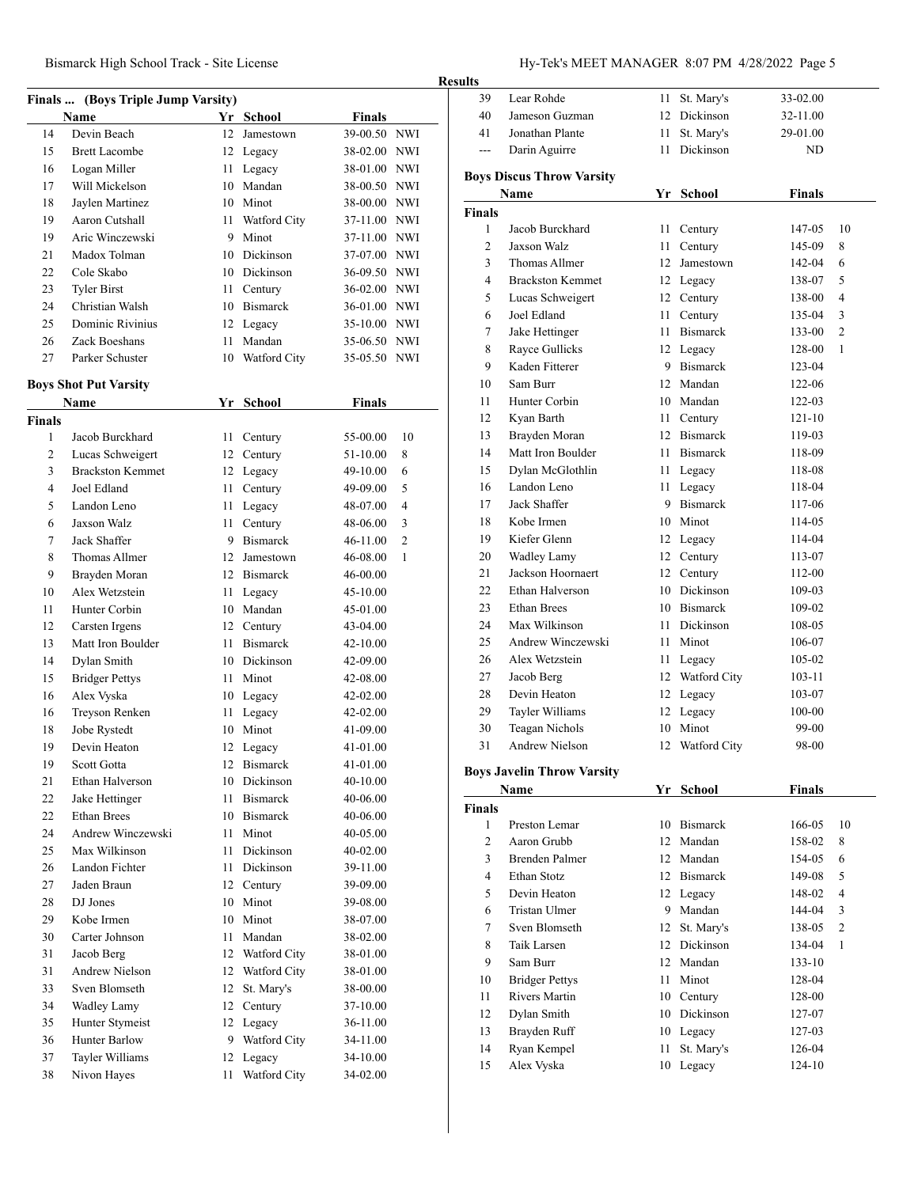|                | Finals  (Boys Triple Jump Varsity) |      |                 |               |                |
|----------------|------------------------------------|------|-----------------|---------------|----------------|
|                | <b>Name</b>                        |      | Yr School       | <b>Finals</b> |                |
| 14             | Devin Beach                        | 12   | Jamestown       | 39-00.50 NWI  |                |
| 15             | <b>Brett Lacombe</b>               |      | 12 Legacy       | 38-02.00 NWI  |                |
| 16             | Logan Miller                       | 11   | Legacy          | 38-01.00 NWI  |                |
| 17             | Will Mickelson                     |      | 10 Mandan       | 38-00.50 NWI  |                |
| 18             | Jaylen Martinez                    |      | 10 Minot        | 38-00.00 NWI  |                |
| 19             | Aaron Cutshall                     | 11   | Watford City    | 37-11.00      | <b>NWI</b>     |
| 19             | Aric Winczewski                    | 9.   | Minot           | 37-11.00 NWI  |                |
| 21             | Madox Tolman                       |      | 10 Dickinson    | 37-07.00 NWI  |                |
| 22             | Cole Skabo                         |      | 10 Dickinson    | 36-09.50 NWI  |                |
| 23             | <b>Tyler Birst</b>                 | 11 - | Century         | 36-02.00 NWI  |                |
| 24             | Christian Walsh                    |      | 10 Bismarck     | 36-01.00 NWI  |                |
| 25             | Dominic Rivinius                   |      | 12 Legacy       | 35-10.00 NWI  |                |
| 26             | Zack Boeshans                      | 11   | Mandan          | 35-06.50 NWI  |                |
| 27             | Parker Schuster                    |      | 10 Watford City | 35-05.50 NWI  |                |
|                | <b>Boys Shot Put Varsity</b>       |      |                 |               |                |
|                | <b>Name</b>                        |      | Yr School       | <b>Finals</b> |                |
| <b>Finals</b>  |                                    |      |                 |               |                |
| 1              | Jacob Burckhard                    | 11   | Century         | 55-00.00      | 10             |
| 2              | Lucas Schweigert                   |      | 12 Century      | 51-10.00      | 8              |
| 3              | <b>Brackston Kemmet</b>            |      | 12 Legacy       | 49-10.00      | 6              |
| $\overline{4}$ | Joel Edland                        | 11 - | Century         | 49-09.00      | 5              |
| 5              | Landon Leno                        |      | 11 Legacy       | 48-07.00      | 4              |
| 6              | Jaxson Walz                        | 11   | Century         | 48-06.00      | 3              |
| 7              | Jack Shaffer                       |      | 9 Bismarck      | 46-11.00      | $\overline{2}$ |
| 8              | Thomas Allmer                      |      | 12 Jamestown    | 46-08.00      | 1              |
| 9              | Brayden Moran                      |      | 12 Bismarck     | 46-00.00      |                |
| 10             | Alex Wetzstein                     | 11   | Legacy          | 45-10.00      |                |
| 11             | Hunter Corbin                      |      | 10 Mandan       | 45-01.00      |                |
| 12             | Carsten Irgens                     | 12   | Century         | 43-04.00      |                |
| 13             | Matt Iron Boulder                  | 11   | <b>Bismarck</b> | 42-10.00      |                |
| 14             | Dylan Smith                        |      | 10 Dickinson    | 42-09.00      |                |
| 15             | <b>Bridger Pettys</b>              | 11   | Minot           | 42-08.00      |                |
| 16             | Alex Vyska                         |      | 10 Legacy       | 42-02.00      |                |
| 16             | Treyson Renken                     |      | 11 Legacy       | 42-02.00      |                |
| 18             | Jobe Rystedt                       |      | 10 Minot        | 41-09.00      |                |
| 19             | Devin Heaton                       |      | 12 Legacy       | 41-01.00      |                |
| 19             | Scott Gotta                        |      | 12 Bismarck     | 41-01.00      |                |
| 21             | Ethan Halverson                    |      | 10 Dickinson    | 40-10.00      |                |
| 22             | Jake Hettinger                     | 11   | <b>Bismarck</b> | 40-06.00      |                |
| 22             | <b>Ethan Brees</b>                 |      | 10 Bismarck     | 40-06.00      |                |
| 24             | Andrew Winczewski                  | 11 - | Minot           | 40-05.00      |                |
| 25             | Max Wilkinson                      | 11   | Dickinson       | 40-02.00      |                |
| 26             | Landon Fichter                     | 11   | Dickinson       | 39-11.00      |                |
| 27             | Jaden Braun                        | 12   | Century         | 39-09.00      |                |
| 28             | DJ Jones                           |      | 10 Minot        | 39-08.00      |                |
| 29             | Kobe Irmen                         |      | 10 Minot        | 38-07.00      |                |
| 30             | Carter Johnson                     | 11   | Mandan          | 38-02.00      |                |
| 31             | Jacob Berg                         |      | 12 Watford City | 38-01.00      |                |
| 31             | <b>Andrew Nielson</b>              |      | 12 Watford City | 38-01.00      |                |
| 33             | Sven Blomseth                      | 12   | St. Mary's      | 38-00.00      |                |
| 34             | Wadley Lamy                        | 12   | Century         | 37-10.00      |                |
| 35             | Hunter Stymeist                    |      | 12 Legacy       | 36-11.00      |                |
| 36             | Hunter Barlow                      | 9.   | Watford City    | 34-11.00      |                |
| 37             | Tayler Williams                    | 12   | Legacy          | 34-10.00      |                |
| 38             | Nivon Hayes                        | 11   | Watford City    | 34-02.00      |                |
|                |                                    |      |                 |               |                |

# Bismarck High School Track - Site License Hy-Tek's MEET MANAGER 8:07 PM 4/28/2022 Page 5

|               | 11) ICKS MILL I MITH RIGHT 0.07 I M 1/20/2022 I GCV 3 |     |               |               |    |
|---------------|-------------------------------------------------------|-----|---------------|---------------|----|
| ults          |                                                       |     |               |               |    |
| 39            | Lear Rohde                                            | 11  | St. Mary's    | 33-02.00      |    |
| 40            | Jameson Guzman                                        | 12  | Dickinson     | 32-11.00      |    |
| 41            | Jonathan Plante                                       | 11  | St. Mary's    | 29-01.00      |    |
| ---           | Darin Aguirre                                         | 11  | Dickinson     | ND            |    |
|               | <b>Boys Discus Throw Varsity</b>                      |     |               |               |    |
|               | Name                                                  | Yr  | <b>School</b> | <b>Finals</b> |    |
| <b>Finals</b> |                                                       |     |               |               |    |
| 1             | Jacob Burckhard                                       | 11  | Century       | 147-05        | 10 |
| 2             | Jaxson Walz                                           | 11  | Century       | 145-09        | 8  |
| 3             | Thomas Allmer                                         | 12. | Jamestown     | 142-04        | 6  |
| 4             | <b>Brackston Kemmet</b>                               | 12. | Legacy        | 138-07        | 5  |

| ∠  | Jaxson waiz             | 11 | Century         | 143-09     | ŏ              |
|----|-------------------------|----|-----------------|------------|----------------|
| 3  | Thomas Allmer           | 12 | Jamestown       | 142-04     | 6              |
| 4  | <b>Brackston Kemmet</b> | 12 | Legacy          | 138-07     | 5              |
| 5  | Lucas Schweigert        | 12 | Century         | 138-00     | $\overline{4}$ |
| 6  | Joel Edland             | 11 | Century         | 135-04     | 3              |
| 7  | Jake Hettinger          | 11 | <b>Bismarck</b> | 133-00     | $\overline{2}$ |
| 8  | Rayce Gullicks          |    | 12 Legacy       | 128-00     | $\mathbf{1}$   |
| 9  | Kaden Fitterer          | 9  | <b>Bismarck</b> | 123-04     |                |
| 10 | Sam Burr                | 12 | Mandan          | 122-06     |                |
| 11 | Hunter Corbin           | 10 | Mandan          | $122 - 03$ |                |
| 12 | Kyan Barth              | 11 | Century         | $121 - 10$ |                |
| 13 | Brayden Moran           | 12 | Bismarck        | 119-03     |                |
| 14 | Matt Iron Boulder       | 11 | <b>Bismarck</b> | 118-09     |                |
| 15 | Dylan McGlothlin        | 11 | Legacy          | 118-08     |                |
| 16 | Landon Leno             | 11 | Legacy          | 118-04     |                |
| 17 | Jack Shaffer            | 9  | <b>Bismarck</b> | 117-06     |                |
| 18 | Kobe Irmen              | 10 | Minot           | 114-05     |                |
| 19 | Kiefer Glenn            | 12 | Legacy          | 114-04     |                |
| 20 | <b>Wadley Lamy</b>      |    | 12 Century      | 113-07     |                |
| 21 | Jackson Hoornaert       | 12 | Century         | 112-00     |                |
| 22 | Ethan Halverson         |    | 10 Dickinson    | 109-03     |                |
| 23 | <b>Ethan Brees</b>      |    | 10 Bismarck     | 109-02     |                |
| 24 | Max Wilkinson           | 11 | Dickinson       | 108-05     |                |
| 25 | Andrew Winczewski       | 11 | Minot           | 106-07     |                |
| 26 | Alex Wetzstein          | 11 | Legacy          | 105-02     |                |
| 27 | Jacob Berg              | 12 | Watford City    | 103-11     |                |
| 28 | Devin Heaton            | 12 | Legacy          | 103-07     |                |
| 29 | Tayler Williams         |    | 12 Legacy       | 100-00     |                |
| 30 | Teagan Nichols          | 10 | Minot           | 99-00      |                |
| 31 | <b>Andrew Nielson</b>   | 12 | Watford City    | 98-00      |                |

# **Boys Javelin Throw Varsity**

|               | Name                  | Yr | <b>School</b>   | Finals |                |
|---------------|-----------------------|----|-----------------|--------|----------------|
| <b>Finals</b> |                       |    |                 |        |                |
| 1             | Preston Lemar         | 10 | <b>Bismarck</b> | 166-05 | 10             |
| 2             | Aaron Grubb           | 12 | Mandan          | 158-02 | 8              |
| 3             | Brenden Palmer        | 12 | Mandan          | 154-05 | 6              |
| 4             | Ethan Stotz           | 12 | <b>Bismarck</b> | 149-08 | 5              |
| 5             | Devin Heaton          |    | 12 Legacy       | 148-02 | 4              |
| 6             | Tristan Ulmer         | 9  | Mandan          | 144-04 | 3              |
| 7             | Sven Blomseth         | 12 | St. Mary's      | 138-05 | $\overline{2}$ |
| 8             | Taik Larsen           | 12 | Dickinson       | 134-04 | 1              |
| 9             | Sam Burr              | 12 | Mandan          | 133-10 |                |
| 10            | <b>Bridger Pettys</b> | 11 | Minot           | 128-04 |                |
| 11            | Rivers Martin         | 10 | Century         | 128-00 |                |
| 12            | Dylan Smith           | 10 | Dickinson       | 127-07 |                |
| 13            | Brayden Ruff          | 10 | Legacy          | 127-03 |                |
| 14            | Ryan Kempel           | 11 | St. Mary's      | 126-04 |                |
| 15            | Alex Vyska            | 10 | Legacy          | 124-10 |                |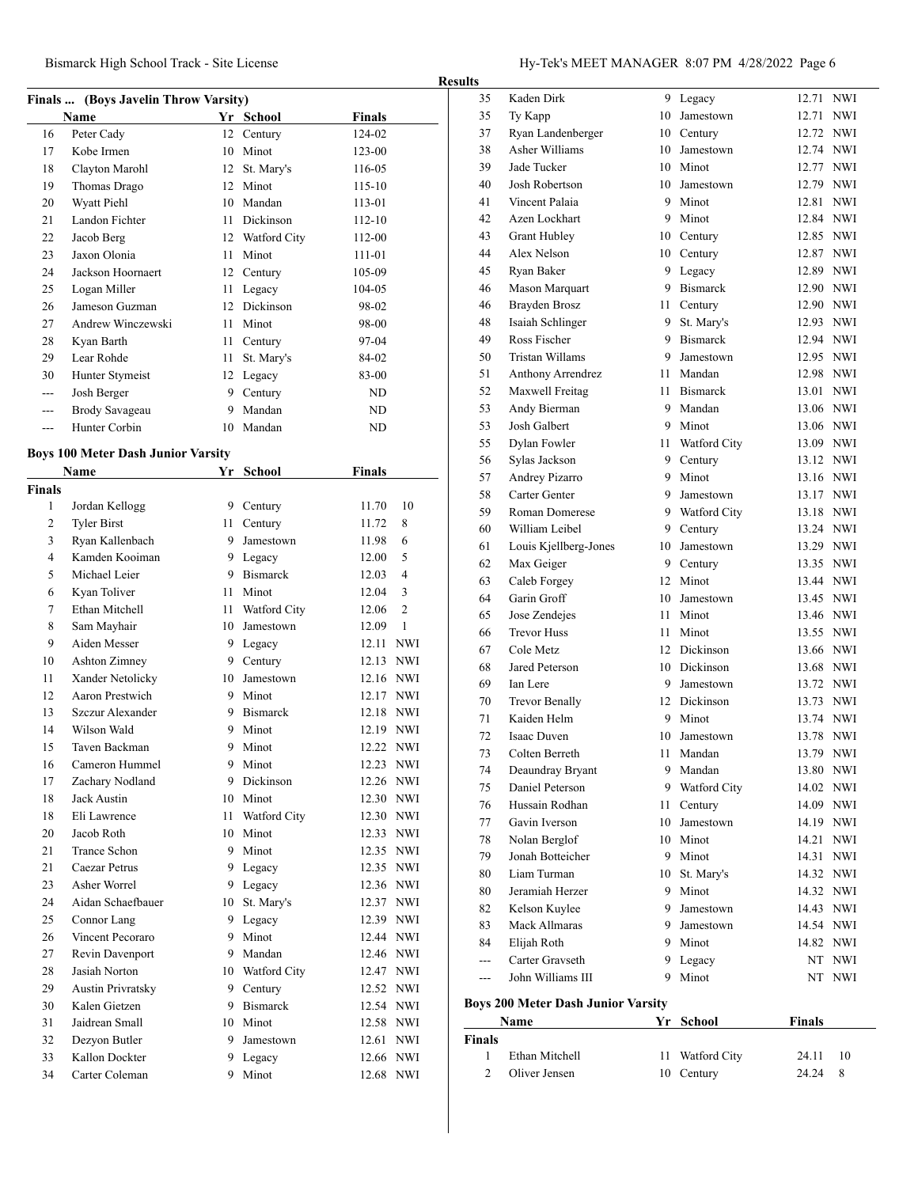#### **Finals ... (Boys Javelin Throw Varsity)**

| Bismarck High School Track - Site License | Hy-Tek's MEET MANAGER $8:07$ PM $4/28/2022$ Page 6 |
|-------------------------------------------|----------------------------------------------------|
|-------------------------------------------|----------------------------------------------------|

|                | Name                                      |      | Yr School       | <b>Finals</b> |                |
|----------------|-------------------------------------------|------|-----------------|---------------|----------------|
| 16             | Peter Cady                                |      | 12 Century      | 124-02        |                |
| 17             | Kobe Irmen                                |      | 10 Minot        | $123 - 00$    |                |
| 18             | Clayton Marohl                            |      | 12 St. Mary's   | 116-05        |                |
| 19             | Thomas Drago                              |      | 12 Minot        | $115 - 10$    |                |
| 20             | Wyatt Piehl                               |      | 10 Mandan       | 113-01        |                |
| 21             | Landon Fichter                            |      | 11 Dickinson    | $112 - 10$    |                |
| 22             | Jacob Berg                                |      | 12 Watford City | 112-00        |                |
| 23             | Jaxon Olonia                              |      | 11 Minot        | 111-01        |                |
| 24             | Jackson Hoornaert                         |      | 12 Century      | 105-09        |                |
| 25             | Logan Miller                              | 11 - | Legacy          | 104-05        |                |
| 26             | Jameson Guzman                            |      | 12 Dickinson    | 98-02         |                |
| 27             | Andrew Winczewski                         | 11 - | Minot           | 98-00         |                |
| 28             | Kyan Barth                                |      | 11 Century      | 97-04         |                |
| 29             | Lear Rohde                                | 11 - | St. Mary's      | 84-02         |                |
| 30             | Hunter Stymeist                           |      | 12 Legacy       | 83-00         |                |
| $\overline{a}$ | Josh Berger                               |      | 9 Century       | ND            |                |
| $- - -$        | Brody Savageau                            |      | 9 Mandan        | ND            |                |
| ---            | Hunter Corbin                             |      | 10 Mandan       | ND            |                |
|                |                                           |      |                 |               |                |
|                | <b>Boys 100 Meter Dash Junior Varsity</b> |      |                 |               |                |
|                | <b>Name</b>                               |      | Yr School       | <b>Finals</b> |                |
| Finals         |                                           |      |                 |               |                |
| 1              | Jordan Kellogg                            |      | 9 Century       | 11.70         | 10             |
| 2              | <b>Tyler Birst</b>                        | 11 - | Century         | 11.72         | 8              |
| 3              | Ryan Kallenbach                           |      | 9 Jamestown     | 11.98         | 6              |
| 4              | Kamden Kooiman                            |      | 9 Legacy        | 12.00         | 5              |
| 5              | Michael Leier                             |      | 9 Bismarck      | 12.03         | $\overline{4}$ |
| 6              | Kyan Toliver                              |      | 11 Minot        | 12.04         | 3              |
| 7              | Ethan Mitchell                            |      | 11 Watford City | 12.06         | $\overline{2}$ |
| 8              | Sam Mayhair                               |      | 10 Jamestown    | 12.09         | $\mathbf{1}$   |
| 9              | Aiden Messer                              |      | 9 Legacy        | 12.11 NWI     |                |
| 10             | Ashton Zimney                             |      | 9 Century       | 12.13 NWI     |                |
| 11             | Xander Netolicky                          |      | 10 Jamestown    | 12.16 NWI     |                |
| 12             | Aaron Prestwich                           |      | 9 Minot         | 12.17 NWI     |                |
| 13             | Szczur Alexander                          |      | 9 Bismarck      | 12.18 NWI     |                |
| 14             | Wilson Wald                               |      | 9 Minot         |               |                |
|                |                                           |      |                 | 12.19 NWI     |                |
| 15             | Taven Backman                             | 9    | Minot           | 12.22 NWI     |                |
| 16             | Cameron Hummel                            | 9    | Minot           | 12.23         | <b>NWI</b>     |
| 17             | Zachary Nodland                           |      | 9 Dickinson     | 12.26 NWI     |                |
| 18             | Jack Austin                               |      | 10 Minot        | 12.30 NWI     |                |
| 18             | Eli Lawrence                              | 11 - | Watford City    | 12.30 NWI     |                |
| 20             | Jacob Roth                                |      | 10 Minot        | 12.33 NWI     |                |
| 21             | Trance Schon                              |      | 9 Minot         | 12.35 NWI     |                |
| 21             | Caezar Petrus                             |      | 9 Legacy        | 12.35 NWI     |                |
| 23             | Asher Worrel                              | 9    | Legacy          | 12.36 NWI     |                |
| 24             | Aidan Schaefbauer                         | 10   | St. Mary's      | 12.37 NWI     |                |
| 25             | Connor Lang                               | 9    | Legacy          | 12.39 NWI     |                |
| 26             | Vincent Pecoraro                          | 9    | Minot           | 12.44 NWI     |                |
| 27             | Revin Davenport                           | 9    | Mandan          | 12.46 NWI     |                |
| $28\,$         | Jasiah Norton                             |      | 10 Watford City | 12.47 NWI     |                |
| 29             | Austin Privratsky                         |      | 9 Century       | 12.52 NWI     |                |
| 30             | Kalen Gietzen                             |      | 9 Bismarck      | 12.54 NWI     |                |
| 31             | Jaidrean Small                            |      | 10 Minot        | 12.58 NWI     |                |
| 32             | Dezyon Butler                             |      | 9 Jamestown     | 12.61 NWI     |                |
| 33             | Kallon Dockter                            |      |                 | 12.66 NWI     |                |
|                |                                           |      | 9 Legacy        |               |                |
| 34             | Carter Coleman                            | 9    | Minot           | 12.68 NWI     |                |

| $\overline{c}$ | Oliver Jensen                             | 10   | Century         | 24.24         | 8          |
|----------------|-------------------------------------------|------|-----------------|---------------|------------|
| 1              | Ethan Mitchell                            | 11   | Watford City    | 24.11         | 10         |
| Finals         |                                           |      |                 |               |            |
|                | Name                                      | Yr   | School          | <b>Finals</b> |            |
|                | <b>Boys 200 Meter Dash Junior Varsity</b> |      |                 |               |            |
| ---            | John Williams III                         | 9    | Minot           | NT            | <b>NWI</b> |
| ---            | Carter Gravseth                           | 9    | Legacy          |               | NT NWI     |
| 84             | Elijah Roth                               |      | 9 Minot         | 14.82 NWI     |            |
| 83             | Mack Allmaras                             | 9.   | Jamestown       |               | 14.54 NWI  |
| 82             | Kelson Kuylee                             | 9    | Jamestown       |               | 14.43 NWI  |
| 80             | Jeramiah Herzer                           |      | 9 Minot         |               | 14.32 NWI  |
| 80             | Liam Turman                               | 10   | St. Mary's      |               | 14.32 NWI  |
| 79             | Jonah Botteicher                          |      | 9 Minot         |               | 14.31 NWI  |
| 78             | Nolan Berglof                             |      | 10 Minot        |               | 14.21 NWI  |
| 77             | Gavin Iverson                             |      | 10 Jamestown    | 14.19 NWI     |            |
| 76             | Hussain Rodhan                            | 11 - | Century         |               | 14.09 NWI  |
| 75             | Daniel Peterson                           |      | 9 Watford City  |               | 14.02 NWI  |
| 74             | Deaundray Bryant                          |      | 9 Mandan        | 13.80 NWI     |            |
| 73             | Colten Berreth                            | 11   | Mandan          | 13.79         | <b>NWI</b> |
| 72             | Isaac Duven                               | 10   | Jamestown       | 13.78 NWI     |            |
| 71             | Kaiden Helm                               |      | 9 Minot         | 13.74 NWI     |            |
| 70             | <b>Trevor Benally</b>                     |      | 12 Dickinson    |               | 13.73 NWI  |
| 69             | Ian Lere                                  | 9.   | Jamestown       |               | 13.72 NWI  |
| 68             | Jared Peterson                            |      | 10 Dickinson    |               | 13.68 NWI  |
| 67             | Cole Metz                                 |      | 12 Dickinson    |               | 13.66 NWI  |
| 66             | <b>Trevor Huss</b>                        |      | 11 Minot        | 13.55 NWI     |            |
| 65             | Jose Zendejes                             |      | 11 Minot        | 13.46 NWI     |            |
| 64             | Garin Groff                               |      | 10 Jamestown    | 13.45 NWI     |            |
| 63             | Caleb Forgey                              |      | 12 Minot        | 13.44 NWI     |            |
| 62             | Max Geiger                                |      | 9 Century       | 13.35 NWI     |            |
| 61             | Louis Kjellberg-Jones                     | 10   | Jamestown       | 13.29 NWI     |            |
| 60             | William Leibel                            | 9    | Century         | 13.24 NWI     |            |
| 59             | <b>Roman Domerese</b>                     | 9    | Watford City    | 13.18 NWI     |            |
| 58             | Carter Genter                             | 9    | Jamestown       |               | 13.17 NWI  |
| 57             | Andrey Pizarro                            | 9    | Minot           |               | 13.16 NWI  |
| 56             | Sylas Jackson                             | 9    | Century         | 13.12 NWI     |            |
| 55             | Dylan Fowler                              | 11 - | Watford City    | 13.09 NWI     |            |
| 53             | Josh Galbert                              |      | 9 Minot         | 13.06 NWI     |            |
| 53             | Andy Bierman                              |      | 9 Mandan        | 13.06 NWI     |            |
| 52             | Maxwell Freitag                           | 11   | <b>Bismarck</b> | 13.01 NWI     |            |
| 51             | Anthony Arrendrez                         | 11 - | Mandan          | 12.98 NWI     |            |
| 50             | <b>Tristan Willams</b>                    | 9    | Jamestown       | 12.95 NWI     |            |
| 49             | Ross Fischer                              | 9    | <b>Bismarck</b> | 12.94 NWI     |            |
| 48             | Isaiah Schlinger                          | 9    | St. Mary's      | 12.93 NWI     |            |
| 46             | <b>Brayden Brosz</b>                      | 11 - | Century         | 12.90 NWI     |            |
| 46             | Mason Marquart                            |      | 9 Bismarck      |               | 12.90 NWI  |
| 45             | Ryan Baker                                |      | 9 Legacy        |               | 12.89 NWI  |
| 44             | Alex Nelson                               | 10   | Century         |               | 12.87 NWI  |
| 43             | <b>Grant Hubley</b>                       |      | 10 Century      | 12.85 NWI     |            |
| 42             | Azen Lockhart                             |      | 9 Minot         | 12.84 NWI     |            |
| 41             | Vincent Palaia                            |      | 9 Minot         | 12.81 NWI     |            |
| 40             | Josh Robertson                            |      | 10 Jamestown    |               | 12.79 NWI  |
| 39             | Jade Tucker                               |      | 10 Minot        | 12.77 NWI     |            |
| 38             | <b>Asher Williams</b>                     | 10   | Jamestown       | 12.74 NWI     |            |
| 37             | Ryan Landenberger                         |      | 10 Century      | 12.72 NWI     |            |
| 35             | Ty Kapp                                   | 10   | Jamestown       | 12.71 NWI     |            |
| 35             | Kaden Dirk                                |      | 9 Legacy        | 12.71         | NWI        |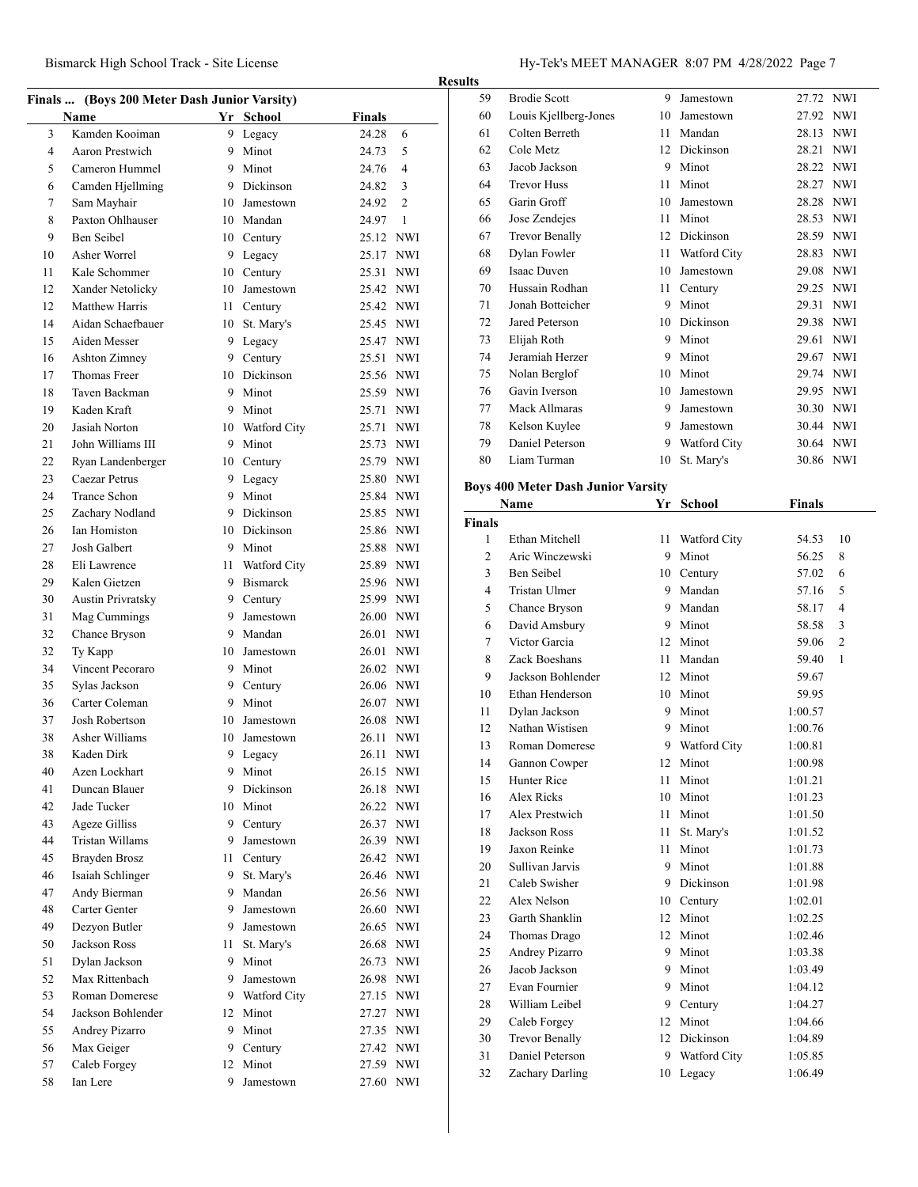|    | Finals  (Boys 200 Meter Dash Junior Varsity) |    |                 |                        |                |
|----|----------------------------------------------|----|-----------------|------------------------|----------------|
|    | <b>Name</b>                                  |    | Yr School       | Finals                 |                |
| 3  | Kamden Kooiman                               | 9. | Legacy          | 24.28                  | 6              |
| 4  | Aaron Prestwich                              | 9  | Minot           | 24.73                  | 5              |
| 5  | Cameron Hummel                               | 9  | Minot           | 24.76                  | 4              |
| 6  | Camden Hjellming                             | 9  | Dickinson       | 24.82                  | 3              |
| 7  | Sam Mayhair                                  | 10 | Jamestown       | 24.92                  | $\overline{c}$ |
| 8  | Paxton Ohlhauser                             | 10 | Mandan          | 24.97                  | $\mathbf{1}$   |
| 9  | <b>Ben Seibel</b>                            | 10 | Century         | 25.12 NWI              |                |
| 10 | Asher Worrel                                 | 9  | Legacy          | 25.17 NWI              |                |
| 11 | Kale Schommer                                | 10 | Century         | 25.31 NWI              |                |
| 12 | Xander Netolicky                             | 10 | Jamestown       | 25.42 NWI              |                |
| 12 | Matthew Harris                               | 11 | Century         | 25.42 NWI              |                |
| 14 | Aidan Schaefbauer                            | 10 | St. Mary's      | 25.45 NWI              |                |
| 15 | Aiden Messer                                 | 9  | Legacy          | 25.47 NWI              |                |
| 16 | Ashton Zimney                                |    | 9 Century       | 25.51 NWI              |                |
| 17 | Thomas Freer                                 | 10 | Dickinson       | 25.56 NWI              |                |
| 18 | Taven Backman                                | 9  | Minot           | 25.59 NWI              |                |
| 19 | Kaden Kraft                                  | 9  | Minot           | 25.71 NWI              |                |
| 20 | Jasiah Norton                                | 10 | Watford City    | 25.71 NWI              |                |
| 21 | John Williams III                            | 9  | Minot           | 25.73 NWI              |                |
| 22 | Ryan Landenberger                            | 10 |                 | 25.79 NWI              |                |
| 23 | Caezar Petrus                                | 9  | Century         |                        |                |
| 24 | <b>Trance Schon</b>                          | 9  | Legacy<br>Minot | 25.80 NWI<br>25.84 NWI |                |
|    |                                              |    | 9 Dickinson     |                        |                |
| 25 | Zachary Nodland                              |    |                 | 25.85 NWI              |                |
| 26 | Ian Homiston                                 | 10 | Dickinson       | 25.86 NWI              |                |
| 27 | Josh Galbert                                 |    | 9 Minot         | 25.88 NWI              |                |
| 28 | Eli Lawrence                                 | 11 | Watford City    | 25.89 NWI              |                |
| 29 | Kalen Gietzen                                | 9  | Bismarck        | 25.96 NWI              |                |
| 30 | <b>Austin Privratsky</b>                     |    | 9 Century       | 25.99 NWI              |                |
| 31 | Mag Cummings                                 | 9  | Jamestown       | 26.00 NWI              |                |
| 32 | Chance Bryson                                | 9  | Mandan          | 26.01 NWI              |                |
| 32 | Ty Kapp                                      | 10 | Jamestown       | 26.01 NWI              |                |
| 34 | Vincent Pecoraro                             | 9  | Minot           | 26.02 NWI              |                |
| 35 | Sylas Jackson                                | 9  | Century         | 26.06 NWI              |                |
| 36 | Carter Coleman                               | 9  | Minot           | 26.07 NWI              |                |
| 37 | Josh Robertson                               | 10 | Jamestown       | 26.08 NWI              |                |
| 38 | Asher Williams                               | 10 | Jamestown       | 26.11                  | NWI            |
| 38 | Kaden Dirk                                   | 9  | Legacy          | 26.11                  | NWI            |
| 40 | Azen Lockhart                                | 9. | Minot           | 26.15 NWI              |                |
| 41 | Duncan Blauer                                | 9  | Dickinson       | 26.18 NWI              |                |
| 42 | Jade Tucker                                  | 10 | Minot           |                        | 26.22 NWI      |
| 43 | <b>Ageze Gilliss</b>                         | 9  | Century         | 26.37 NWI              |                |
| 44 | <b>Tristan Willams</b>                       | 9  | Jamestown       |                        | 26.39 NWI      |
| 45 | Brayden Brosz                                | 11 | Century         |                        | 26.42 NWI      |
| 46 | Isaiah Schlinger                             | 9  | St. Mary's      | 26.46 NWI              |                |
| 47 | Andy Bierman                                 | 9  | Mandan          |                        | 26.56 NWI      |
| 48 | Carter Genter                                | 9  | Jamestown       |                        | 26.60 NWI      |
| 49 | Dezyon Butler                                | 9  | Jamestown       |                        | 26.65 NWI      |
| 50 | Jackson Ross                                 | 11 | St. Mary's      |                        | 26.68 NWI      |
| 51 | Dylan Jackson                                | 9  | Minot           |                        | 26.73 NWI      |
| 52 | Max Rittenbach                               | 9  | Jamestown       |                        | 26.98 NWI      |
| 53 | Roman Domerese                               | 9  | Watford City    | 27.15 NWI              |                |
| 54 | Jackson Bohlender                            | 12 | Minot           |                        | 27.27 NWI      |
| 55 | Andrey Pizarro                               | 9  | Minot           |                        | 27.35 NWI      |
| 56 | Max Geiger                                   | 9  | Century         |                        | 27.42 NWI      |
| 57 | Caleb Forgey                                 | 12 | Minot           |                        | 27.59 NWI      |
|    |                                              |    |                 |                        |                |
| 58 | Ian Lere                                     | 9  | Jamestown       |                        | 27.60 NWI      |

| 59 | <b>Brodie Scott</b>                       | 9  | Jamestown    | 27.72 NWI |            |
|----|-------------------------------------------|----|--------------|-----------|------------|
| 60 | Louis Kjellberg-Jones                     | 10 | Jamestown    | 27.92     | <b>NWI</b> |
| 61 | Colten Berreth                            | 11 | Mandan       | 28.13     | <b>NWI</b> |
| 62 | Cole Metz                                 | 12 | Dickinson    | 28.21     | <b>NWI</b> |
| 63 | Jacob Jackson                             | 9  | Minot        | 28.22     | <b>NWI</b> |
| 64 | <b>Trevor Huss</b>                        | 11 | Minot        | 28.27     | <b>NWI</b> |
| 65 | Garin Groff                               | 10 | Jamestown    | 28.28     | <b>NWI</b> |
| 66 | Jose Zendejes                             | 11 | Minot        | 28.53     | <b>NWI</b> |
| 67 | <b>Trevor Benally</b>                     | 12 | Dickinson    | 28.59     | <b>NWI</b> |
| 68 | Dylan Fowler                              | 11 | Watford City | 28.83     | <b>NWI</b> |
| 69 | <b>Isaac Duven</b>                        | 10 | Jamestown    | 29.08     | <b>NWI</b> |
| 70 | Hussain Rodhan                            | 11 | Century      | 29.25     | <b>NWI</b> |
| 71 | Jonah Botteicher                          | 9  | Minot        | 29.31     | <b>NWI</b> |
| 72 | Jared Peterson                            | 10 | Dickinson    | 29.38     | <b>NWI</b> |
| 73 | Elijah Roth                               | 9  | Minot        | 29.61     | <b>NWI</b> |
| 74 | Jeramiah Herzer                           | 9  | Minot        | 29.67     | <b>NWI</b> |
| 75 | Nolan Berglof                             | 10 | Minot        | 29.74     | <b>NWI</b> |
| 76 | Gavin Iverson                             | 10 | Jamestown    | 29.95     | <b>NWI</b> |
| 77 | Mack Allmaras                             | 9  | Jamestown    | 30.30     | <b>NWI</b> |
| 78 | Kelson Kuylee                             | 9  | Jamestown    | 30.44     | <b>NWI</b> |
| 79 | Daniel Peterson                           | 9  | Watford City | 30.64 NWI |            |
| 80 | Liam Turman                               | 10 | St. Mary's   | 30.86     | <b>NWI</b> |
|    | <b>Boys 400 Meter Dash Junior Varsity</b> |    |              |           |            |

|                | Name                  | Yr              | <b>School</b>  | <b>Finals</b> |                |
|----------------|-----------------------|-----------------|----------------|---------------|----------------|
| <b>Finals</b>  |                       |                 |                |               |                |
| 1              | Ethan Mitchell        | 11              | Watford City   | 54.53         | 10             |
| $\overline{c}$ | Aric Winczewski       | 9               | Minot          | 56.25         | 8              |
| 3              | Ben Seibel            |                 | 10 Century     | 57.02         | 6              |
| 4              | <b>Tristan Ulmer</b>  |                 | 9 Mandan       | 57.16         | 5              |
| 5              | Chance Bryson         | 9               | Mandan         | 58.17         | $\overline{4}$ |
| 6              | David Amsbury         | 9               | Minot          | 58.58         | 3              |
| $\overline{7}$ | Victor Garcia         | 12 <sup>2</sup> | Minot          | 59.06         | $\overline{c}$ |
| 8              | Zack Boeshans         | 11              | Mandan         | 59.40         | 1              |
| 9              | Jackson Bohlender     |                 | 12 Minot       | 59.67         |                |
| 10             | Ethan Henderson       |                 | 10 Minot       | 59.95         |                |
| 11             | Dylan Jackson         |                 | 9 Minot        | 1:00.57       |                |
| 12             | Nathan Wistisen       | 9               | Minot          | 1:00.76       |                |
| 13             | <b>Roman Domerese</b> |                 | 9 Watford City | 1:00.81       |                |
| 14             | Gannon Cowper         |                 | 12 Minot       | 1:00.98       |                |
| 15             | Hunter Rice           | 11              | Minot          | 1:01.21       |                |
| 16             | Alex Ricks            |                 | 10 Minot       | 1:01.23       |                |
| 17             | Alex Prestwich        | 11 -            | Minot          | 1:01.50       |                |
| 18             | Jackson Ross          | 11 -            | St. Mary's     | 1:01.52       |                |
| 19             | Jaxon Reinke          | 11.             | Minot          | 1:01.73       |                |
| 20             | Sullivan Jarvis       |                 | 9 Minot        | 1:01.88       |                |
| 21             | Caleb Swisher         |                 | 9 Dickinson    | 1:01.98       |                |
| 22             | Alex Nelson           |                 | 10 Century     | 1:02.01       |                |
| 23             | Garth Shanklin        |                 | 12 Minot       | 1:02.25       |                |
| 24             | Thomas Drago          |                 | 12 Minot       | 1:02.46       |                |
| 25             | Andrey Pizarro        | 9               | Minot          | 1:03.38       |                |
| 26             | Jacob Jackson         | 9               | Minot          | 1:03.49       |                |
| 27             | Evan Fournier         | 9               | Minot          | 1:04.12       |                |
| 28             | William Leibel        |                 | 9 Century      | 1:04.27       |                |
| 29             | Caleb Forgey          | 12              | Minot          | 1:04.66       |                |
| 30             | <b>Trevor Benally</b> | 12              | Dickinson      | 1:04.89       |                |
| 31             | Daniel Peterson       | 9               | Watford City   | 1:05.85       |                |
| 32             | Zachary Darling       | 10              | Legacy         | 1:06.49       |                |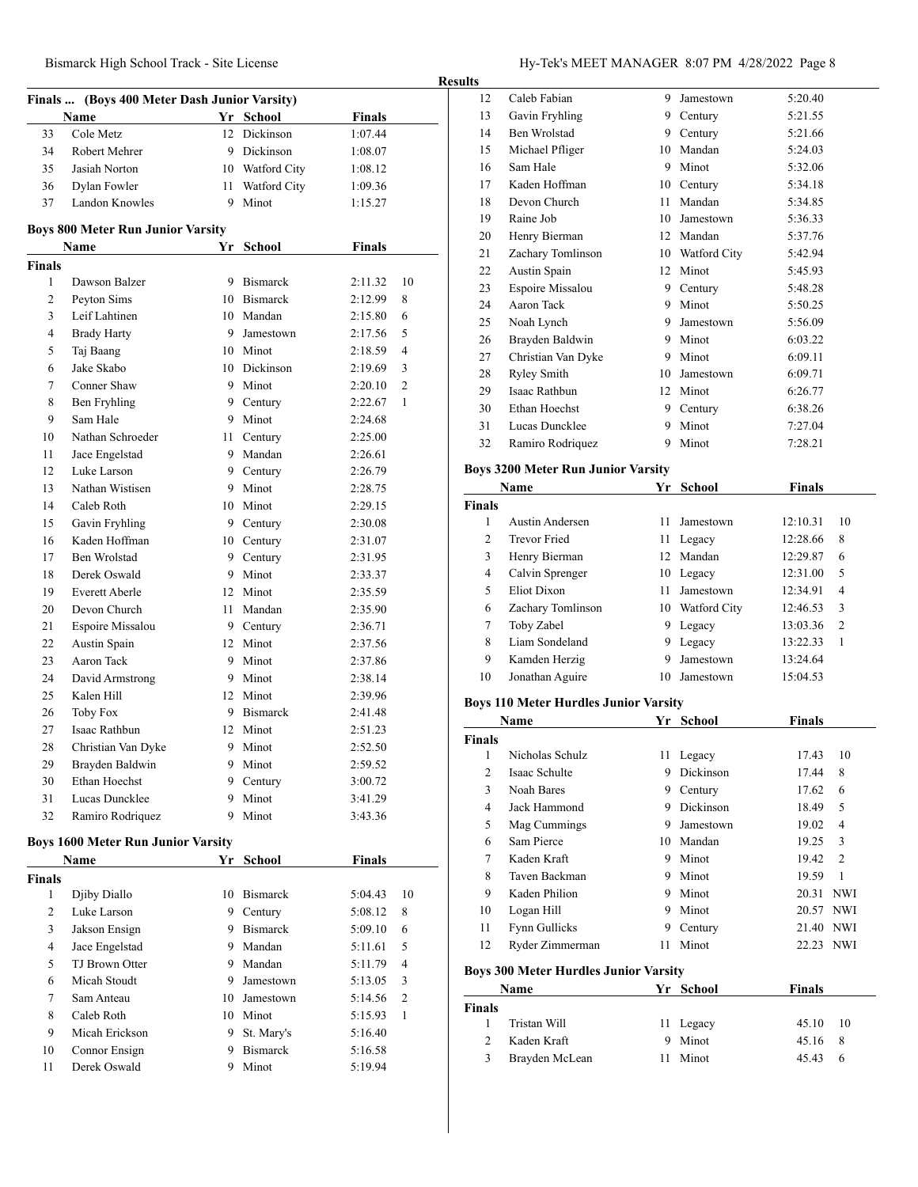| Bismarck High School Track - Site License | Hy-Tek's MEET MANAGER 8:07 PM 4/28/2022 Page 8 |
|-------------------------------------------|------------------------------------------------|
|-------------------------------------------|------------------------------------------------|

|               | Finals  (Boys 400 Meter Dash Junior Varsity)     |      |                        |                          |                |
|---------------|--------------------------------------------------|------|------------------------|--------------------------|----------------|
| 33            | Name<br>Cole Metz                                | 12   | Yr School<br>Dickinson | <b>Finals</b><br>1:07.44 |                |
| 34            | Robert Mehrer                                    |      | 9 Dickinson            | 1:08.07                  |                |
| 35            | Jasiah Norton                                    |      | 10 Watford City        | 1:08.12                  |                |
| 36            | Dylan Fowler                                     |      | 11 Watford City        | 1:09.36                  |                |
| 37            | Landon Knowles                                   | 9    | Minot                  | 1:15.27                  |                |
|               |                                                  |      |                        |                          |                |
|               | <b>Boys 800 Meter Run Junior Varsity</b><br>Name |      | Yr School              | <b>Finals</b>            |                |
| <b>Finals</b> |                                                  |      |                        |                          |                |
| 1             | Dawson Balzer                                    |      | 9 Bismarck             | 2:11.32                  | 10             |
| 2             | Peyton Sims                                      |      | 10 Bismarck            | 2:12.99                  | 8              |
| 3             | Leif Lahtinen                                    |      | 10 Mandan              | 2:15.80                  | 6              |
| 4             | <b>Brady Harty</b>                               | 9.   | Jamestown              | 2:17.56                  | 5              |
| 5             | Taj Baang                                        |      | 10 Minot               | 2:18.59                  | $\overline{4}$ |
| 6             | Jake Skabo                                       |      | 10 Dickinson           | 2:19.69                  | 3              |
| 7             | Conner Shaw                                      |      | 9 Minot                | 2:20.10                  | $\overline{2}$ |
| 8             | Ben Fryhling                                     |      | 9 Century              | 2:22.67                  | 1              |
| 9             | Sam Hale                                         |      | 9 Minot                | 2:24.68                  |                |
| 10            | Nathan Schroeder                                 |      | 11 Century             | 2:25.00                  |                |
| 11            | Jace Engelstad                                   |      | 9 Mandan               | 2:26.61                  |                |
| 12            | Luke Larson                                      |      | 9 Century              | 2:26.79                  |                |
| 13            | Nathan Wistisen                                  |      | 9 Minot                | 2:28.75                  |                |
| 14            | Caleb Roth                                       |      | 10 Minot               | 2:29.15                  |                |
| 15            | Gavin Fryhling                                   |      | 9 Century              | 2:30.08                  |                |
| 16            | Kaden Hoffman                                    |      | 10 Century             | 2:31.07                  |                |
| 17            | Ben Wrolstad                                     |      | 9 Century              | 2:31.95                  |                |
| 18            | Derek Oswald                                     |      | 9 Minot                | 2:33.37                  |                |
| 19            | <b>Everett Aberle</b>                            |      | 12 Minot               | 2:35.59                  |                |
| 20            | Devon Church                                     | 11 - | Mandan                 | 2:35.90                  |                |
| 21            | Espoire Missalou                                 |      | 9 Century              | 2:36.71                  |                |
| 22            | Austin Spain                                     |      | 12 Minot               | 2:37.56                  |                |
| 23            | Aaron Tack                                       |      | 9 Minot                | 2:37.86                  |                |
| 24            | David Armstrong                                  |      | 9 Minot                | 2:38.14                  |                |
| 25            | Kalen Hill                                       |      | 12 Minot               | 2:39.96                  |                |
| 26            | <b>Toby Fox</b>                                  | 9.   | <b>Bismarck</b>        | 2:41.48                  |                |
| 27            | Isaac Rathbun                                    | 12   | Minot                  | 2:51.23                  |                |
| 28            | Christian Van Dyke                               |      | 9 Minot                | 2:52.50                  |                |
| 29            | Brayden Baldwin                                  | 9    | Minot                  | 2:59.52                  |                |
| 30            | Ethan Hoechst                                    | 9.   | Century                | 3:00.72                  |                |
| 31            | Lucas Duncklee                                   | 9.   | Minot                  | 3:41.29                  |                |
| 32            | Ramiro Rodriquez                                 | 9    | Minot                  | 3:43.36                  |                |
|               | <b>Boys 1600 Meter Run Junior Varsity</b>        |      |                        |                          |                |
|               | Name                                             | Yr   | School                 | Finals                   |                |
| <b>Finals</b> |                                                  |      |                        |                          |                |
| 1             | Djiby Diallo                                     | 10   | <b>Bismarck</b>        | 5:04.43                  | 10             |
| 2             | Luke Larson                                      |      | 9 Century              | 5:08.12                  | 8              |
| 3             | Jakson Ensign                                    |      | 9 Bismarck             | 5:09.10                  | 6              |
| 4             | Jace Engelstad                                   |      | 9 Mandan               | 5:11.61                  | 5              |
| 5             | TJ Brown Otter                                   |      | 9 Mandan               | 5:11.79                  | 4              |
| 6             | Micah Stoudt                                     | 9.   | Jamestown              | 5:13.05                  | 3              |
| 7             | Sam Anteau                                       |      | 10 Jamestown           | 5:14.56                  | 2              |
| 8             | Caleb Roth                                       |      | 10 Minot               | 5:15.93                  | 1              |
| 9             | Micah Erickson                                   | 9    | St. Mary's             | 5:16.40                  |                |
| 10            | Connor Ensign                                    | 9.   | <b>Bismarck</b>        | 5:16.58                  |                |
|               |                                                  |      |                        |                          |                |

| 12                            | Caleb Fabian                                 |      | 9 Jamestown          | 5:20.40        |    |
|-------------------------------|----------------------------------------------|------|----------------------|----------------|----|
| 13                            | Gavin Fryhling                               |      | 9 Century            | 5:21.55        |    |
| 14                            | Ben Wrolstad                                 |      | 9 Century            | 5:21.66        |    |
| 15                            | Michael Pfliger                              |      | 10 Mandan            | 5:24.03        |    |
| 16                            | Sam Hale                                     |      | 9 Minot              | 5:32.06        |    |
| 17                            | Kaden Hoffman                                | 10   | Century              | 5:34.18        |    |
| 18                            | Devon Church                                 | 11 - | Mandan               | 5:34.85        |    |
| 19                            | Raine Job                                    |      | 10 Jamestown         | 5:36.33        |    |
| 20                            | Henry Bierman                                |      | 12 Mandan            | 5:37.76        |    |
| 21                            | Zachary Tomlinson                            |      | 10 Watford City      | 5:42.94        |    |
| 22                            | Austin Spain                                 |      | 12 Minot             | 5:45.93        |    |
| 23                            | Espoire Missalou                             |      | 9 Century            | 5:48.28        |    |
| 24                            | <b>Aaron Tack</b>                            |      | 9 Minot              | 5:50.25        |    |
| 25                            | Noah Lynch                                   |      | 9 Jamestown          | 5:56.09        |    |
| 26                            | Brayden Baldwin                              |      | 9 Minot              | 6:03.22        |    |
| 27                            | Christian Van Dyke                           |      | 9 Minot              | 6:09.11        |    |
| 28                            | <b>Ryley Smith</b>                           |      | 10 Jamestown         | 6:09.71        |    |
| 29                            | Isaac Rathbun                                |      | 12 Minot             | 6:26.77        |    |
| 30                            | Ethan Hoechst                                |      | 9 Century            | 6:38.26        |    |
| 31                            | Lucas Duncklee                               | 9    | Minot                | 7:27.04        |    |
| 32                            | Ramiro Rodriquez                             | 9    | Minot                | 7:28.21        |    |
|                               |                                              |      |                      |                |    |
|                               | <b>Boys 3200 Meter Run Junior Varsity</b>    |      |                      |                |    |
|                               | Name                                         | Yr   | <b>School</b>        | <b>Finals</b>  |    |
| <b>Finals</b>                 |                                              |      |                      |                |    |
| 1                             | <b>Austin Andersen</b>                       | 11   | Jamestown            | 12:10.31       | 10 |
| 2                             | <b>Trevor Fried</b>                          |      | 11 Legacy            | 12:28.66       | 8  |
| 3                             | Henry Bierman                                |      | 12 Mandan            | 12:29.87       | 6  |
| 4                             | Calvin Sprenger                              |      | 10 Legacy            | 12:31.00       | 5  |
| 5                             | Eliot Dixon                                  |      | 11 Jamestown         | 12:34.91       | 4  |
| 6                             | Zachary Tomlinson                            |      | 10 Watford City      | 12:46.53       | 3  |
| 7                             | Toby Zabel                                   |      | 9 Legacy             | 13:03.36       | 2  |
|                               | Liam Sondeland                               | 9    | Legacy               | 13:22.33       | 1  |
| 8                             |                                              |      |                      |                |    |
| 9                             | Kamden Herzig                                | 9    | Jamestown            | 13:24.64       |    |
| 10                            | Jonathan Aguire                              | 10   | Jamestown            | 15:04.53       |    |
|                               |                                              |      |                      |                |    |
|                               | <b>Boys 110 Meter Hurdles Junior Varsity</b> |      |                      |                |    |
|                               | Name                                         | Yr   | <b>School</b>        | <b>Finals</b>  |    |
| Finals                        |                                              |      |                      |                |    |
| $\mathbf{1}$                  | Nicholas Schulz                              |      | 11 Legacy            | 17.43          | 10 |
| 2                             | Isaac Schulte                                |      | 9 Dickinson          | 17.44          | 8  |
| 3                             | Noah Bares                                   |      | 9 Century            | 17.62          | 6  |
| 4                             | Jack Hammond                                 |      | 9 Dickinson          | 18.49          | 5  |
| 5                             | Mag Cummings                                 |      | 9 Jamestown          | 19.02          | 4  |
| 6                             | Sam Pierce                                   |      | 10 Mandan            | 19.25          | 3  |
| 7                             | Kaden Kraft                                  |      | 9 Minot              | 19.42          | 2  |
| 8                             | Taven Backman                                |      | 9 Minot              | 19.59          | 1  |
| 9                             | Kaden Philion                                |      | 9 Minot              | 20.31 NWI      |    |
| 10                            | Logan Hill                                   |      | 9 Minot              | 20.57 NWI      |    |
| 11                            | Fynn Gullicks                                | 9    | Century              | 21.40 NWI      |    |
| 12                            | Ryder Zimmerman                              | 11   | Minot                | 22.23 NWI      |    |
|                               |                                              |      |                      |                |    |
|                               | <b>Boys 300 Meter Hurdles Junior Varsity</b> |      |                      |                |    |
|                               | <b>Name</b>                                  |      | Yr School            | <b>Finals</b>  |    |
| <b>Finals</b><br>$\mathbf{1}$ | Tristan Will                                 |      |                      |                | 10 |
| $\overline{c}$                | Kaden Kraft                                  |      | 11 Legacy<br>9 Minot | 45.10<br>45.16 | 8  |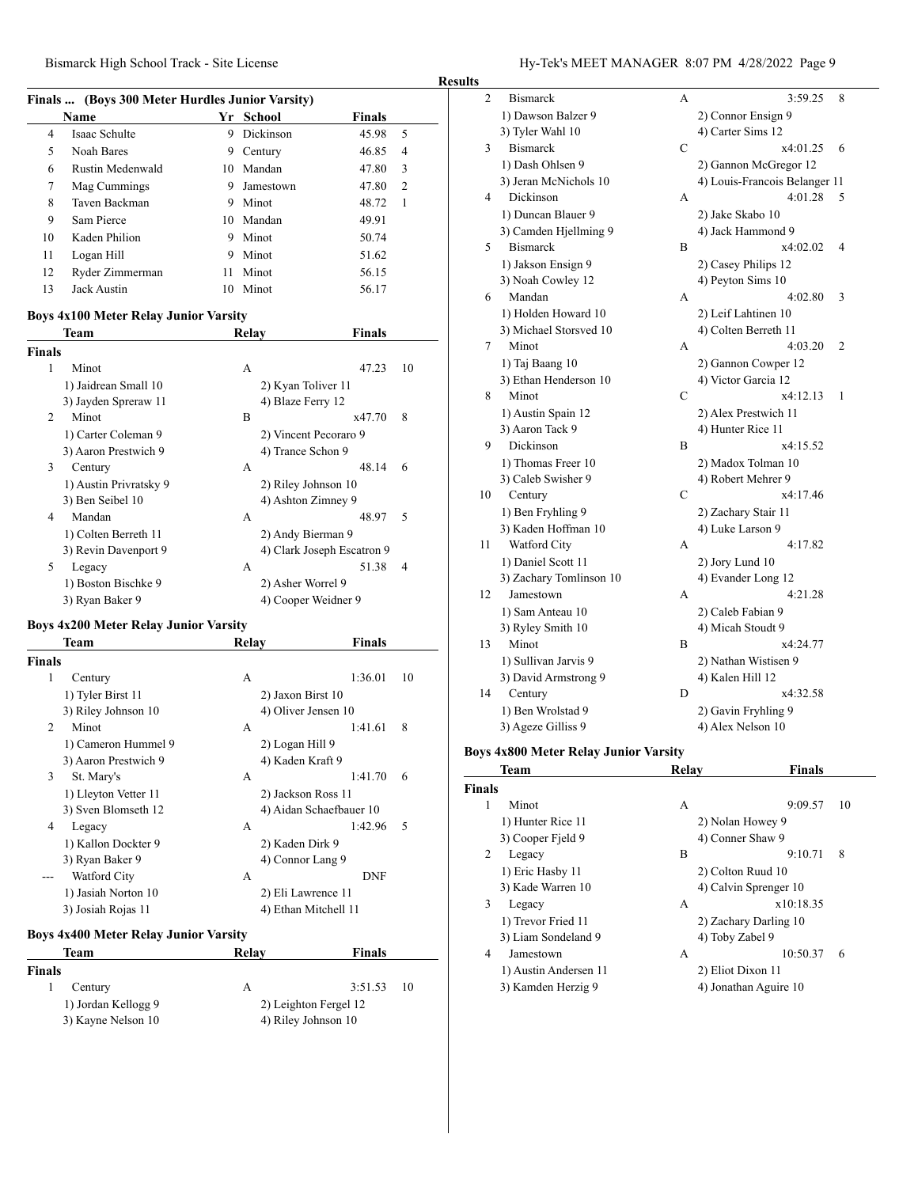### **Finals ... (Boys 300 Meter Hurdles Junior Varsity)**

|    | Name             |    | Yr School | <b>Finals</b> |                |  |  |
|----|------------------|----|-----------|---------------|----------------|--|--|
| 4  | Isaac Schulte    | 9  | Dickinson | 45.98         | 5              |  |  |
| 5  | Noah Bares       | 9  | Century   | 46.85         | 4              |  |  |
| 6  | Rustin Medenwald |    | 10 Mandan | 47.80         | 3              |  |  |
| 7  | Mag Cummings     | 9  | Jamestown | 47.80         | $\overline{2}$ |  |  |
| 8  | Taven Backman    | 9  | Minot     | 48.72         | $\mathbf{1}$   |  |  |
| 9  | Sam Pierce       |    | 10 Mandan | 49.91         |                |  |  |
| 10 | Kaden Philion    | 9  | Minot     | 50.74         |                |  |  |
| 11 | Logan Hill       | 9  | Minot     | 51.62         |                |  |  |
| 12 | Ryder Zimmerman  | 11 | Minot     | 56.15         |                |  |  |
| 13 | Jack Austin      | 10 | Minot     | 56.17         |                |  |  |

#### **Boys 4x100 Meter Relay Junior Varsity**

|        | Team                   | Relav             | <b>Finals</b>              |  |
|--------|------------------------|-------------------|----------------------------|--|
| Finals |                        |                   |                            |  |
| 1      | Minot                  | А                 | 47.23<br>10                |  |
|        | 1) Jaidrean Small 10   |                   | 2) Kyan Toliver 11         |  |
|        | 3) Jayden Spreraw 11   | 4) Blaze Ferry 12 |                            |  |
| 2      | Minot                  | B                 | 8<br>x47.70                |  |
|        | 1) Carter Coleman 9    |                   | 2) Vincent Pecoraro 9      |  |
|        | 3) Aaron Prestwich 9   | 4) Trance Schon 9 |                            |  |
| 3      | Century                | A                 | 48.14<br>6                 |  |
|        | 1) Austin Privratsky 9 |                   | 2) Riley Johnson 10        |  |
|        | 3) Ben Seibel 10       |                   | 4) Ashton Zimney 9         |  |
| 4      | Mandan                 | А                 | .5<br>48.97                |  |
|        | 1) Colten Berreth 11   |                   | 2) Andy Bierman 9          |  |
|        | 3) Revin Davenport 9   |                   | 4) Clark Joseph Escatron 9 |  |
| 5      | Legacy                 | А                 | 51.38<br>4                 |  |
|        | 1) Boston Bischke 9    | 2) Asher Worrel 9 |                            |  |
|        | 3) Ryan Baker 9        |                   | 4) Cooper Weidner 9        |  |

### **Boys 4x200 Meter Relay Junior Varsity**

|               | Team                 | <b>Relay</b>         | <b>Finals</b>           |    |
|---------------|----------------------|----------------------|-------------------------|----|
| <b>Finals</b> |                      |                      |                         |    |
| 1             | Century              | A                    | 1:36.01                 | 10 |
|               | 1) Tyler Birst 11    | 2) Jaxon Birst 10    |                         |    |
|               | 3) Riley Johnson 10  | 4) Oliver Jensen 10  |                         |    |
| 2             | Minot                | A                    | 1:41.61                 | 8  |
|               | 1) Cameron Hummel 9  | 2) Logan Hill 9      |                         |    |
|               | 3) Aaron Prestwich 9 | 4) Kaden Kraft 9     |                         |    |
| 3             | St. Mary's           | A                    | 1:41.70                 | 6  |
|               | 1) Lleyton Vetter 11 | 2) Jackson Ross 11   |                         |    |
|               | 3) Sven Blomseth 12  |                      | 4) Aidan Schaefbauer 10 |    |
| 4             | Legacy               | A                    | 1:42.96                 | .5 |
|               | 1) Kallon Dockter 9  | 2) Kaden Dirk 9      |                         |    |
|               | 3) Ryan Baker 9      | 4) Connor Lang 9     |                         |    |
|               | Watford City         | A                    | <b>DNF</b>              |    |
|               | 1) Jasiah Norton 10  | 2) Eli Lawrence 11   |                         |    |
|               | 3) Josiah Rojas 11   | 4) Ethan Mitchell 11 |                         |    |
|               |                      |                      |                         |    |

### **Boys 4x400 Meter Relay Junior Varsity**

| Relay | Finals                |  |
|-------|-----------------------|--|
|       |                       |  |
| А     | $3:51.53$ 10          |  |
|       | 2) Leighton Fergel 12 |  |
|       | 4) Riley Johnson 10   |  |
|       |                       |  |

| <b>Results</b> |                         |              |                               |                          |
|----------------|-------------------------|--------------|-------------------------------|--------------------------|
| $\overline{c}$ | <b>Bismarck</b>         | A            | 3:59.25                       | 8                        |
|                | 1) Dawson Balzer 9      |              | 2) Connor Ensign 9            |                          |
|                | 3) Tyler Wahl 10        |              | 4) Carter Sims 12             |                          |
| 3              | <b>Bismarck</b>         | $\mathsf{C}$ | x4:01.25                      | 6                        |
|                | 1) Dash Ohlsen 9        |              | 2) Gannon McGregor 12         |                          |
|                | 3) Jeran McNichols 10   |              | 4) Louis-Francois Belanger 11 |                          |
| 4              | Dickinson               | A            | 4:01.28                       | 5                        |
|                | 1) Duncan Blauer 9      |              | 2) Jake Skabo 10              |                          |
|                | 3) Camden Hjellming 9   |              | 4) Jack Hammond 9             |                          |
| 5              | <b>Bismarck</b>         | B            | x4:02.02                      | $\overline{\mathcal{A}}$ |
|                | 1) Jakson Ensign 9      |              | 2) Casey Philips 12           |                          |
|                | 3) Noah Cowley 12       |              | 4) Peyton Sims 10             |                          |
| 6              | Mandan                  | A            | 4:02.80                       | 3                        |
|                | 1) Holden Howard 10     |              | 2) Leif Lahtinen 10           |                          |
|                | 3) Michael Storsved 10  |              | 4) Colten Berreth 11          |                          |
| 7              | Minot                   | A            | 4:03.20                       | 2                        |
|                | 1) Taj Baang 10         |              | 2) Gannon Cowper 12           |                          |
|                | 3) Ethan Henderson 10   |              | 4) Victor Garcia 12           |                          |
| 8              | Minot                   | $\mathbf C$  | x4:12.13                      | 1                        |
|                | 1) Austin Spain 12      |              | 2) Alex Prestwich 11          |                          |
|                | 3) Aaron Tack 9         |              | 4) Hunter Rice 11             |                          |
| 9              | Dickinson               | B            | x4:15.52                      |                          |
|                | 1) Thomas Freer 10      |              | 2) Madox Tolman 10            |                          |
|                | 3) Caleb Swisher 9      |              | 4) Robert Mehrer 9            |                          |
| 10             | Century                 | $\mathsf{C}$ | x4:17.46                      |                          |
|                | 1) Ben Fryhling 9       |              | 2) Zachary Stair 11           |                          |
|                | 3) Kaden Hoffman 10     |              | 4) Luke Larson 9              |                          |
| 11             | Watford City            | A            | 4:17.82                       |                          |
|                | 1) Daniel Scott 11      |              | 2) Jory Lund 10               |                          |
|                | 3) Zachary Tomlinson 10 |              | 4) Evander Long 12            |                          |
| 12             | Jamestown               | A            | 4:21.28                       |                          |
|                | 1) Sam Anteau 10        |              | 2) Caleb Fabian 9             |                          |
|                | 3) Ryley Smith 10       |              | 4) Micah Stoudt 9             |                          |
| 13             | Minot                   | B            | x4:24.77                      |                          |
|                | 1) Sullivan Jarvis 9    |              | 2) Nathan Wistisen 9          |                          |
|                | 3) David Armstrong 9    |              | 4) Kalen Hill 12              |                          |
| 14             | Century                 | D            | x4:32.58                      |                          |
|                | 1) Ben Wrolstad 9       |              | 2) Gavin Fryhling 9           |                          |
|                | 3) Ageze Gilliss 9      |              | 4) Alex Nelson 10             |                          |

### **Boys 4x800 Meter Relay Junior Varsity**

| Team                  | Relay         | <b>Finals</b> |                                                                                                                                                                              |
|-----------------------|---------------|---------------|------------------------------------------------------------------------------------------------------------------------------------------------------------------------------|
|                       |               |               |                                                                                                                                                                              |
| Minot                 | А             | 9:09.57<br>10 |                                                                                                                                                                              |
| 1) Hunter Rice 11     |               |               |                                                                                                                                                                              |
| 3) Cooper Field 9     |               |               |                                                                                                                                                                              |
| Legacy                | B             | 9:10.71<br>8  |                                                                                                                                                                              |
| 1) Eric Hasby 11      |               |               |                                                                                                                                                                              |
| 3) Kade Warren 10     |               |               |                                                                                                                                                                              |
| Legacy                | A             | x10:18.35     |                                                                                                                                                                              |
| 1) Trevor Fried 11    |               |               |                                                                                                                                                                              |
| 3) Liam Sondeland 9   |               |               |                                                                                                                                                                              |
| Jamestown             | А             | 10:50.37<br>6 |                                                                                                                                                                              |
| 1) Austin Andersen 11 |               |               |                                                                                                                                                                              |
| 3) Kamden Herzig 9    |               |               |                                                                                                                                                                              |
|                       | <b>Finals</b> |               | 2) Nolan Howey 9<br>4) Conner Shaw 9<br>2) Colton Ruud 10<br>4) Calvin Sprenger 10<br>2) Zachary Darling 10<br>4) Toby Zabel 9<br>2) Eliot Dixon 11<br>4) Jonathan Aguire 10 |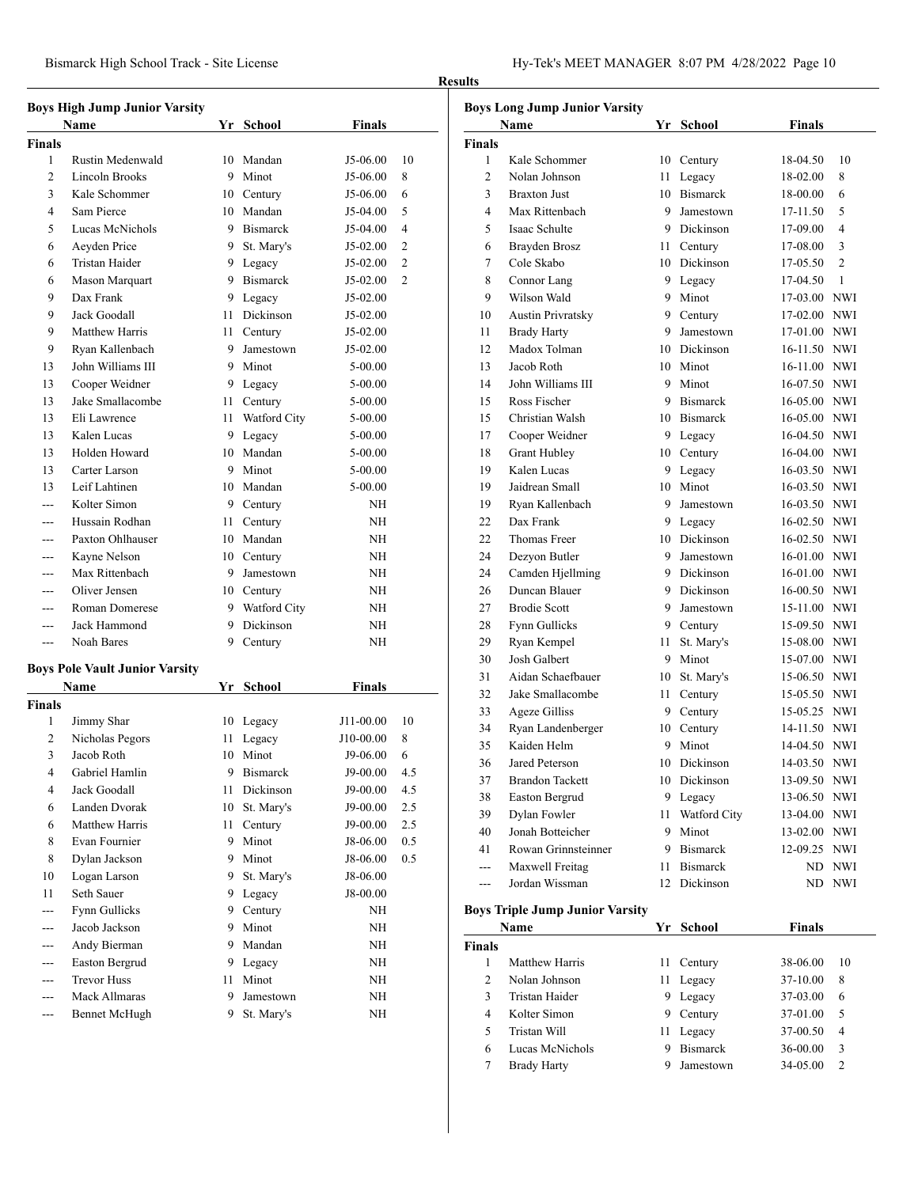|                | <b>Boys High Jump Junior Varsity</b> |      |                 |               |                |
|----------------|--------------------------------------|------|-----------------|---------------|----------------|
| Name           |                                      |      | Yr School       | <b>Finals</b> |                |
| Finals         |                                      |      |                 |               |                |
| 1              | Rustin Medenwald                     | 10   | Mandan          | J5-06.00      | 10             |
| $\overline{c}$ | Lincoln Brooks                       |      | 9 Minot         | J5-06.00      | 8              |
| 3              | Kale Schommer                        |      | 10 Century      | J5-06.00      | 6              |
| 4              | Sam Pierce                           |      | 10 Mandan       | J5-04.00      | 5              |
| 5              | Lucas McNichols                      |      | 9 Bismarck      | J5-04.00      | 4              |
| 6              | Aeyden Price                         |      | 9 St. Mary's    | $J5-02.00$    | 2              |
| 6              | <b>Tristan Haider</b>                |      | 9 Legacy        | $J5-02.00$    | $\overline{2}$ |
| 6              | Mason Marquart                       |      | 9 Bismarck      | J5-02.00      | $\overline{c}$ |
| 9              | Dax Frank                            | 9.   | Legacy          | $J5-02.00$    |                |
| 9              | Jack Goodall                         | 11 - | Dickinson       | J5-02.00      |                |
| 9              | Matthew Harris                       | 11 - | Century         | J5-02.00      |                |
| 9              | Ryan Kallenbach                      |      | 9 Jamestown     | J5-02.00      |                |
| 13             | John Williams III                    |      | 9 Minot         | 5-00.00       |                |
| 13             | Cooper Weidner                       |      | 9 Legacy        | 5-00.00       |                |
| 13             | Jake Smallacombe                     |      | 11 Century      | 5-00.00       |                |
| 13             | Eli Lawrence                         |      | 11 Watford City | 5-00.00       |                |
| 13             | Kalen Lucas                          |      | 9 Legacy        | $5 - 00.00$   |                |
| 13             | Holden Howard                        |      | 10 Mandan       | 5-00.00       |                |
| 13             | Carter Larson                        |      | 9 Minot         | 5-00.00       |                |
| 13             | Leif Lahtinen                        |      | 10 Mandan       | 5-00.00       |                |
| ---            | Kolter Simon                         |      | 9 Century       | NΗ            |                |
|                | Hussain Rodhan                       | 11 - | Century         | NΗ            |                |
| ---            | Paxton Ohlhauser                     |      | 10 Mandan       | NΗ            |                |
| ---            | Kayne Nelson                         |      | 10 Century      | NΗ            |                |
|                | Max Rittenbach                       |      | 9 Jamestown     | NΗ            |                |
| ---            | Oliver Jensen                        |      | 10 Century      | NΗ            |                |
| ---            | <b>Roman Domerese</b>                |      | 9 Watford City  | NΗ            |                |
| ---            | Jack Hammond                         |      | 9 Dickinson     | NΗ            |                |
| ---            | Noah Bares                           | 9.   | Century         | NΗ            |                |
|                | Boys Pole Vault Junior Varsity       |      |                 |               |                |
|                | Name                                 |      | Yr School       | <b>Finals</b> |                |
| Finals         |                                      |      |                 |               |                |
| 1              | Jimmy Shar                           | 10   | Legacy          | J11-00.00     | 10             |
| 2              | Nicholas Pegors                      | 11   | Legacy          | J10-00.00     | 8              |
| 3              | Jacob Roth                           | 10   | Minot           | J9-06.00      | 6              |
| 4              | Gabriel Hamlin                       | 9    | Bismarck        | J9-00.00      | 4.5            |
| 4              | Jack Goodall                         | 11   | Dickinson       | J9-00.00      | 4.5            |
| 6              | Landen Dvorak                        | 10   | St. Mary's      | J9-00.00      | 2.5            |
| 6              | Matthew Harris                       | 11   | Century         | J9-00.00      | 2.5            |
| 8              | Evan Fournier                        | 9    | Minot           | J8-06.00      | 0.5            |
| 8              | Dylan Jackson                        |      | 9 Minot         | J8-06.00      | 0.5            |
| 10             | Logan Larson                         | 9.   | St. Mary's      | J8-06.00      |                |
| 11             | Seth Sauer                           | 9.   | Legacy          | J8-00.00      |                |
| ---            | Fynn Gullicks                        | 9    | Century         | NH            |                |
| ---            | Jacob Jackson                        | 9    | Minot           | NΗ            |                |
| ---            | Andy Bierman                         | 9    | Mandan          | NΗ            |                |
|                | Easton Bergrud                       | 9    | Legacy          | NH            |                |
| ---            | <b>Trevor Huss</b>                   | 11   | Minot           | NΗ            |                |
| ---            | Mack Allmaras                        | 9    | Jamestown       | NH            |                |
| ---            | <b>Bennet McHugh</b>                 | 9    | St. Mary's      | NH            |                |
|                |                                      |      |                 |               |                |

| <b>Boys Long Jump Junior Varsity</b> |                                        |      |                  |               |                |  |
|--------------------------------------|----------------------------------------|------|------------------|---------------|----------------|--|
|                                      | Name                                   |      | Yr School        | <b>Finals</b> |                |  |
| <b>Finals</b>                        |                                        |      |                  |               |                |  |
| 1                                    | Kale Schommer                          | 10   | Century          | 18-04.50      | 10             |  |
| $\overline{2}$                       | Nolan Johnson                          | 11   | Legacy           | 18-02.00      | 8              |  |
| 3                                    | <b>Braxton Just</b>                    | 10   | <b>Bismarck</b>  | 18-00.00      | 6              |  |
| 4                                    | Max Rittenbach                         | 9    | Jamestown        | 17-11.50      | 5              |  |
| 5                                    | Isaac Schulte                          |      | 9 Dickinson      | 17-09.00      | 4              |  |
| 6                                    | Brayden Brosz                          | 11 - | Century          | 17-08.00      | 3              |  |
| 7                                    | Cole Skabo                             |      | 10 Dickinson     | 17-05.50      | $\overline{c}$ |  |
| 8                                    | Connor Lang                            |      | 9 Legacy         | 17-04.50      | 1              |  |
| 9                                    | Wilson Wald                            |      | 9 Minot          | 17-03.00 NWI  |                |  |
| 10                                   | <b>Austin Privratsky</b>               |      | 9 Century        | 17-02.00 NWI  |                |  |
| 11                                   | <b>Brady Harty</b>                     | 9.   | Jamestown        | 17-01.00 NWI  |                |  |
| 12                                   | Madox Tolman                           |      | 10 Dickinson     | 16-11.50 NWI  |                |  |
| 13                                   | Jacob Roth                             |      | 10 Minot         | 16-11.00 NWI  |                |  |
| 14                                   | John Williams III                      | 9    | Minot            | 16-07.50 NWI  |                |  |
| 15                                   | Ross Fischer                           | 9    | <b>Bismarck</b>  | 16-05.00 NWI  |                |  |
| 15                                   | Christian Walsh                        |      | 10 Bismarck      | 16-05.00 NWI  |                |  |
| 17                                   | Cooper Weidner                         |      | 9 Legacy         | 16-04.50 NWI  |                |  |
| 18                                   | <b>Grant Hubley</b>                    |      | 10 Century       | 16-04.00 NWI  |                |  |
| 19                                   | Kalen Lucas                            |      | 9 Legacy         | 16-03.50 NWI  |                |  |
| 19                                   | Jaidrean Small                         |      | 10 Minot         | 16-03.50 NWI  |                |  |
| 19                                   | Ryan Kallenbach                        | 9    | Jamestown        | 16-03.50 NWI  |                |  |
| 22                                   | Dax Frank                              |      | 9 Legacy         | 16-02.50 NWI  |                |  |
| 22                                   | Thomas Freer                           |      | 10 Dickinson     | 16-02.50 NWI  |                |  |
| 24                                   | Dezyon Butler                          | 9    | Jamestown        | 16-01.00 NWI  |                |  |
| 24                                   | Camden Hjellming                       | 9    | <b>Dickinson</b> | 16-01.00 NWI  |                |  |
| 26                                   | Duncan Blauer                          | 9    | Dickinson        | 16-00.50 NWI  |                |  |
| 27                                   | <b>Brodie Scott</b>                    | 9    | Jamestown        | 15-11.00 NWI  |                |  |
| 28                                   | Fynn Gullicks                          | 9.   | Century          | 15-09.50 NWI  |                |  |
| 29                                   | Ryan Kempel                            | 11   | St. Mary's       | 15-08.00 NWI  |                |  |
| 30                                   | Josh Galbert                           | 9    | Minot            | 15-07.00 NWI  |                |  |
| 31                                   | Aidan Schaefbauer                      | 10   | St. Mary's       | 15-06.50 NWI  |                |  |
| 32                                   | Jake Smallacombe                       | 11 - | Century          | 15-05.50 NWI  |                |  |
| 33                                   | <b>Ageze Gilliss</b>                   | 9.   | Century          | 15-05.25 NWI  |                |  |
| 34                                   | Ryan Landenberger                      |      | 10 Century       | 14-11.50 NWI  |                |  |
| 35                                   | Kaiden Helm                            | 9    | Minot            | 14-04.50 NWI  |                |  |
| 36                                   | Jared Peterson                         | 10   | Dickinson        | 14-03.50 NWI  |                |  |
| 37                                   | <b>Brandon Tackett</b>                 |      | 10 Dickinson     | 13-09.50      | NWI            |  |
| 38                                   | Easton Bergrud                         | 9    | Legacy           | 13-06.50 NWI  |                |  |
| 39                                   | Dylan Fowler                           | 11 - | Watford City     | 13-04.00 NWI  |                |  |
| 40                                   | Jonah Botteicher                       | 9.   | Minot            | 13-02.00 NWI  |                |  |
| 41                                   | Rowan Grinnsteinner                    |      | 9 Bismarck       | 12-09.25 NWI  |                |  |
| $\overline{a}$                       | Maxwell Freitag                        | 11 - | <b>Bismarck</b>  |               | ND NWI         |  |
| ---                                  | Jordan Wissman                         |      | 12 Dickinson     | ND            | <b>NWI</b>     |  |
|                                      | <b>Boys Triple Jump Junior Varsity</b> |      |                  |               |                |  |
|                                      | Name                                   |      | Yr School        | <b>Finals</b> |                |  |
| <b>Finals</b>                        |                                        |      |                  |               |                |  |
| 1                                    | Matthew Harris                         | 11   | Century          | 38-06.00      | 10             |  |
| 2                                    | Nolan Johnson                          | 11   | Legacy           | 37-10.00      | 8              |  |
| 3                                    | Tristan Haider                         |      | 9 Legacy         | 37-03.00      | 6              |  |
| 4                                    | Kolter Simon                           | 9    | Century          | 37-01.00      | 5              |  |
| 5                                    | Tristan Will                           | 11   | Legacy           | 37-00.50      | 4              |  |
| 6                                    | Lucas McNichols                        | 9    | <b>Bismarck</b>  | 36-00.00      | 3              |  |
| 7                                    | <b>Brady Harty</b>                     | 9    | Jamestown        | 34-05.00      | 2              |  |
|                                      |                                        |      |                  |               |                |  |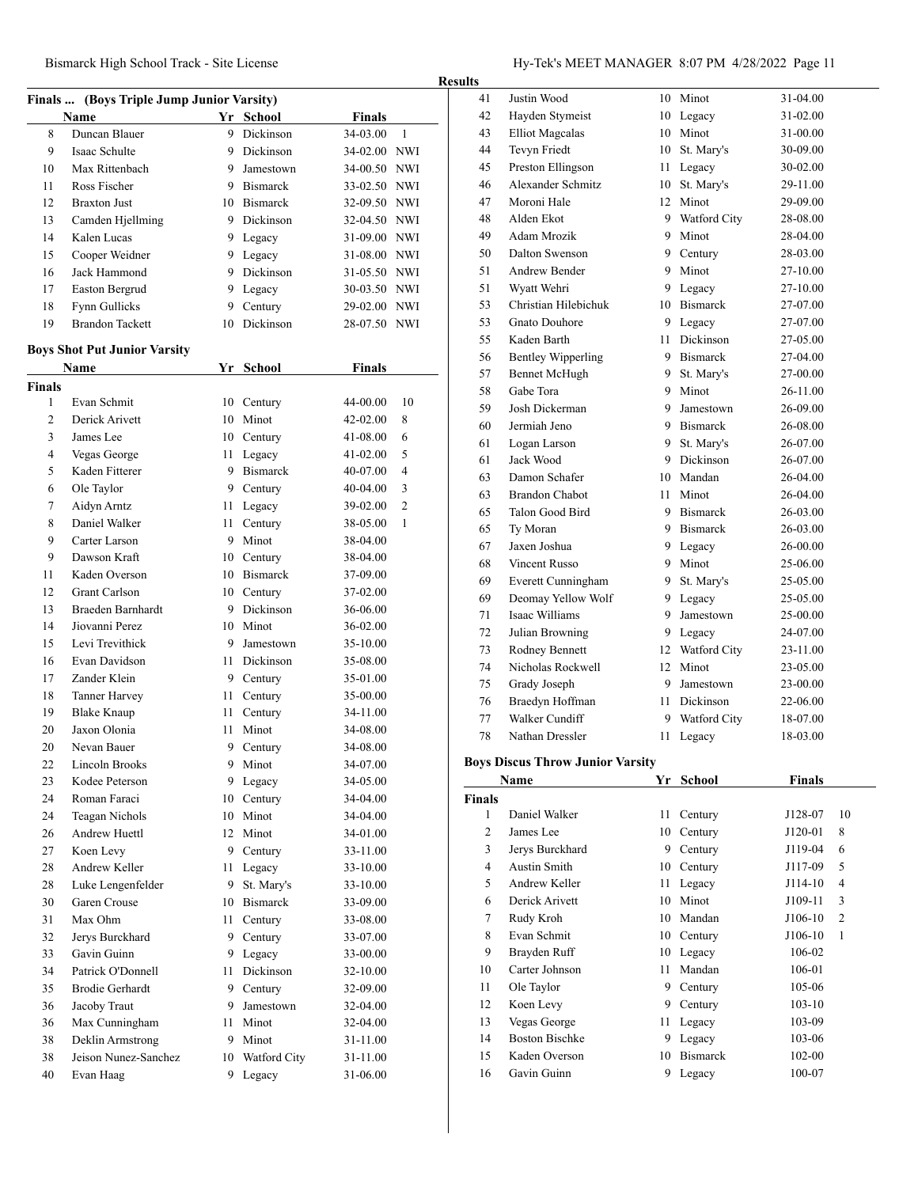Bismarck High School Track - Site License Hy-Tek's MEET MANAGER 8:07 PM 4/28/2022 Page 11

| <b>Finals</b><br>Name<br>Yr School<br>8<br>Duncan Blauer<br>9<br>Dickinson<br>34-03.00<br>1<br>Isaac Schulte<br>9 Dickinson<br>34-02.00 NWI<br>9<br>Max Rittenbach<br>10<br>9 Jamestown<br>34-00.50 NWI<br>Ross Fischer<br>9 Bismarck<br>33-02.50 NWI<br>11<br>12<br><b>Braxton Just</b><br>10 Bismarck<br>32-09.50 NWI<br>13<br>9 Dickinson<br>32-04.50 NWI<br>Camden Hjellming<br>Kalen Lucas<br>31-09.00 NWI<br>14<br>9 Legacy<br>9 Legacy<br>15<br>Cooper Weidner<br>31-08.00 NWI<br>Jack Hammond<br>9.<br>Dickinson<br>16<br>31-05.50 NWI<br>Easton Bergrud<br>17<br>9.<br>Legacy<br>30-03.50 NWI<br>Fynn Gullicks<br>Century<br>18<br>9<br>29-02.00 NWI<br><b>Brandon Tackett</b><br><b>Dickinson</b><br>19<br>28-07.50 NWI<br>10<br><b>Boys Shot Put Junior Varsity</b><br><b>Name</b><br>Yr<br>School<br>Finals<br>Finals<br>Evan Schmit<br>1<br>10<br>44-00.00<br>10<br>Century<br>Minot<br>2<br>Derick Arivett<br>10<br>42-02.00<br>8<br>3<br>James Lee<br>10 Century<br>41-08.00<br>6<br>4<br>5<br>Vegas George<br>11 -<br>41-02.00<br>Legacy<br>5<br>Kaden Fitterer<br>9 Bismarck<br>4<br>40-07.00<br>6<br>Ole Taylor<br>3<br>9 Century<br>40-04.00<br>$\overline{2}$<br>7<br>Aidyn Arntz<br>11<br>Legacy<br>39-02.00<br>8<br>Daniel Walker<br>1<br>11<br>Century<br>38-05.00<br>9<br>Carter Larson<br>9<br>Minot<br>38-04.00<br>9<br>Dawson Kraft<br>10 Century<br>38-04.00<br>Kaden Overson<br>10 Bismarck<br>11<br>37-09.00<br><b>Grant Carlson</b><br>12<br>10 Century<br>37-02.00<br>9 Dickinson<br>13<br>Braeden Barnhardt<br>36-06.00<br>Jiovanni Perez<br>10 Minot<br>14<br>36-02.00<br>Levi Trevithick<br>15<br>9 Jamestown<br>35-10.00<br>Evan Davidson<br>Dickinson<br>16<br>11 -<br>35-08.00<br>Zander Klein<br>17<br>9 Century<br>35-01.00<br>18<br><b>Tanner Harvey</b><br>11<br>Century<br>35-00.00<br>19<br><b>Blake Knaup</b><br>11<br>Century<br>34-11.00<br>20<br>Jaxon Olonia<br>Minot<br>11<br>34-08.00<br>20<br>Nevan Bauer<br>9<br>Century<br>34-08.00<br>22<br><b>Lincoln Brooks</b><br>9<br>Minot<br>34-07.00<br>23<br>Kodee Peterson<br>9<br>Legacy<br>34-05.00<br>24<br>Roman Faraci<br>Century<br>34-04.00<br>10<br>24<br>Minot<br>Teagan Nichols<br>10<br>34-04.00<br>26<br>Andrew Huettl<br>12<br>Minot<br>34-01.00<br>27<br>Koen Levy<br>9 Century<br>33-11.00<br>28<br><b>Andrew Keller</b><br>33-10.00<br>11<br>Legacy<br>28<br>Luke Lengenfelder<br>9<br>St. Mary's<br>33-10.00<br>30<br>Garen Crouse<br>10 Bismarck<br>33-09.00<br>31<br>Max Ohm<br>11<br>Century<br>33-08.00<br>32<br>Jerys Burckhard<br>9<br>Century<br>33-07.00<br>33<br>Gavin Guinn<br>Legacy<br>9.<br>33-00.00<br>34<br>Patrick O'Donnell<br>Dickinson<br>11<br>32-10.00<br>35<br><b>Brodie Gerhardt</b><br>9<br>Century<br>32-09.00<br>36<br>Jacoby Traut<br>Jamestown<br>9.<br>32-04.00<br>Minot<br>36<br>Max Cunningham<br>11<br>32-04.00<br>38<br>Deklin Armstrong<br>9 Minot<br>31-11.00<br>Jeison Nunez-Sanchez<br>10 Watford City<br>38<br>31-11.00<br>40<br>31-06.00<br>Evan Haag<br>9 | Finals  (Boys Triple Jump Junior Varsity) |  |  |        |  |  |  |  |
|--------------------------------------------------------------------------------------------------------------------------------------------------------------------------------------------------------------------------------------------------------------------------------------------------------------------------------------------------------------------------------------------------------------------------------------------------------------------------------------------------------------------------------------------------------------------------------------------------------------------------------------------------------------------------------------------------------------------------------------------------------------------------------------------------------------------------------------------------------------------------------------------------------------------------------------------------------------------------------------------------------------------------------------------------------------------------------------------------------------------------------------------------------------------------------------------------------------------------------------------------------------------------------------------------------------------------------------------------------------------------------------------------------------------------------------------------------------------------------------------------------------------------------------------------------------------------------------------------------------------------------------------------------------------------------------------------------------------------------------------------------------------------------------------------------------------------------------------------------------------------------------------------------------------------------------------------------------------------------------------------------------------------------------------------------------------------------------------------------------------------------------------------------------------------------------------------------------------------------------------------------------------------------------------------------------------------------------------------------------------------------------------------------------------------------------------------------------------------------------------------------------------------------------------------------------------------------------------------------------------------------------------------------------------------------------------------------------------------------------------------------------------------------------------------------------------------------------------------------------------------------------------------------------------------------------------------------------------------------------------------------------------|-------------------------------------------|--|--|--------|--|--|--|--|
|                                                                                                                                                                                                                                                                                                                                                                                                                                                                                                                                                                                                                                                                                                                                                                                                                                                                                                                                                                                                                                                                                                                                                                                                                                                                                                                                                                                                                                                                                                                                                                                                                                                                                                                                                                                                                                                                                                                                                                                                                                                                                                                                                                                                                                                                                                                                                                                                                                                                                                                                                                                                                                                                                                                                                                                                                                                                                                                                                                                                                    |                                           |  |  |        |  |  |  |  |
|                                                                                                                                                                                                                                                                                                                                                                                                                                                                                                                                                                                                                                                                                                                                                                                                                                                                                                                                                                                                                                                                                                                                                                                                                                                                                                                                                                                                                                                                                                                                                                                                                                                                                                                                                                                                                                                                                                                                                                                                                                                                                                                                                                                                                                                                                                                                                                                                                                                                                                                                                                                                                                                                                                                                                                                                                                                                                                                                                                                                                    |                                           |  |  |        |  |  |  |  |
|                                                                                                                                                                                                                                                                                                                                                                                                                                                                                                                                                                                                                                                                                                                                                                                                                                                                                                                                                                                                                                                                                                                                                                                                                                                                                                                                                                                                                                                                                                                                                                                                                                                                                                                                                                                                                                                                                                                                                                                                                                                                                                                                                                                                                                                                                                                                                                                                                                                                                                                                                                                                                                                                                                                                                                                                                                                                                                                                                                                                                    |                                           |  |  |        |  |  |  |  |
|                                                                                                                                                                                                                                                                                                                                                                                                                                                                                                                                                                                                                                                                                                                                                                                                                                                                                                                                                                                                                                                                                                                                                                                                                                                                                                                                                                                                                                                                                                                                                                                                                                                                                                                                                                                                                                                                                                                                                                                                                                                                                                                                                                                                                                                                                                                                                                                                                                                                                                                                                                                                                                                                                                                                                                                                                                                                                                                                                                                                                    |                                           |  |  |        |  |  |  |  |
|                                                                                                                                                                                                                                                                                                                                                                                                                                                                                                                                                                                                                                                                                                                                                                                                                                                                                                                                                                                                                                                                                                                                                                                                                                                                                                                                                                                                                                                                                                                                                                                                                                                                                                                                                                                                                                                                                                                                                                                                                                                                                                                                                                                                                                                                                                                                                                                                                                                                                                                                                                                                                                                                                                                                                                                                                                                                                                                                                                                                                    |                                           |  |  |        |  |  |  |  |
|                                                                                                                                                                                                                                                                                                                                                                                                                                                                                                                                                                                                                                                                                                                                                                                                                                                                                                                                                                                                                                                                                                                                                                                                                                                                                                                                                                                                                                                                                                                                                                                                                                                                                                                                                                                                                                                                                                                                                                                                                                                                                                                                                                                                                                                                                                                                                                                                                                                                                                                                                                                                                                                                                                                                                                                                                                                                                                                                                                                                                    |                                           |  |  |        |  |  |  |  |
|                                                                                                                                                                                                                                                                                                                                                                                                                                                                                                                                                                                                                                                                                                                                                                                                                                                                                                                                                                                                                                                                                                                                                                                                                                                                                                                                                                                                                                                                                                                                                                                                                                                                                                                                                                                                                                                                                                                                                                                                                                                                                                                                                                                                                                                                                                                                                                                                                                                                                                                                                                                                                                                                                                                                                                                                                                                                                                                                                                                                                    |                                           |  |  |        |  |  |  |  |
|                                                                                                                                                                                                                                                                                                                                                                                                                                                                                                                                                                                                                                                                                                                                                                                                                                                                                                                                                                                                                                                                                                                                                                                                                                                                                                                                                                                                                                                                                                                                                                                                                                                                                                                                                                                                                                                                                                                                                                                                                                                                                                                                                                                                                                                                                                                                                                                                                                                                                                                                                                                                                                                                                                                                                                                                                                                                                                                                                                                                                    |                                           |  |  |        |  |  |  |  |
|                                                                                                                                                                                                                                                                                                                                                                                                                                                                                                                                                                                                                                                                                                                                                                                                                                                                                                                                                                                                                                                                                                                                                                                                                                                                                                                                                                                                                                                                                                                                                                                                                                                                                                                                                                                                                                                                                                                                                                                                                                                                                                                                                                                                                                                                                                                                                                                                                                                                                                                                                                                                                                                                                                                                                                                                                                                                                                                                                                                                                    |                                           |  |  |        |  |  |  |  |
|                                                                                                                                                                                                                                                                                                                                                                                                                                                                                                                                                                                                                                                                                                                                                                                                                                                                                                                                                                                                                                                                                                                                                                                                                                                                                                                                                                                                                                                                                                                                                                                                                                                                                                                                                                                                                                                                                                                                                                                                                                                                                                                                                                                                                                                                                                                                                                                                                                                                                                                                                                                                                                                                                                                                                                                                                                                                                                                                                                                                                    |                                           |  |  |        |  |  |  |  |
|                                                                                                                                                                                                                                                                                                                                                                                                                                                                                                                                                                                                                                                                                                                                                                                                                                                                                                                                                                                                                                                                                                                                                                                                                                                                                                                                                                                                                                                                                                                                                                                                                                                                                                                                                                                                                                                                                                                                                                                                                                                                                                                                                                                                                                                                                                                                                                                                                                                                                                                                                                                                                                                                                                                                                                                                                                                                                                                                                                                                                    |                                           |  |  |        |  |  |  |  |
|                                                                                                                                                                                                                                                                                                                                                                                                                                                                                                                                                                                                                                                                                                                                                                                                                                                                                                                                                                                                                                                                                                                                                                                                                                                                                                                                                                                                                                                                                                                                                                                                                                                                                                                                                                                                                                                                                                                                                                                                                                                                                                                                                                                                                                                                                                                                                                                                                                                                                                                                                                                                                                                                                                                                                                                                                                                                                                                                                                                                                    |                                           |  |  |        |  |  |  |  |
|                                                                                                                                                                                                                                                                                                                                                                                                                                                                                                                                                                                                                                                                                                                                                                                                                                                                                                                                                                                                                                                                                                                                                                                                                                                                                                                                                                                                                                                                                                                                                                                                                                                                                                                                                                                                                                                                                                                                                                                                                                                                                                                                                                                                                                                                                                                                                                                                                                                                                                                                                                                                                                                                                                                                                                                                                                                                                                                                                                                                                    |                                           |  |  |        |  |  |  |  |
|                                                                                                                                                                                                                                                                                                                                                                                                                                                                                                                                                                                                                                                                                                                                                                                                                                                                                                                                                                                                                                                                                                                                                                                                                                                                                                                                                                                                                                                                                                                                                                                                                                                                                                                                                                                                                                                                                                                                                                                                                                                                                                                                                                                                                                                                                                                                                                                                                                                                                                                                                                                                                                                                                                                                                                                                                                                                                                                                                                                                                    |                                           |  |  |        |  |  |  |  |
|                                                                                                                                                                                                                                                                                                                                                                                                                                                                                                                                                                                                                                                                                                                                                                                                                                                                                                                                                                                                                                                                                                                                                                                                                                                                                                                                                                                                                                                                                                                                                                                                                                                                                                                                                                                                                                                                                                                                                                                                                                                                                                                                                                                                                                                                                                                                                                                                                                                                                                                                                                                                                                                                                                                                                                                                                                                                                                                                                                                                                    |                                           |  |  |        |  |  |  |  |
|                                                                                                                                                                                                                                                                                                                                                                                                                                                                                                                                                                                                                                                                                                                                                                                                                                                                                                                                                                                                                                                                                                                                                                                                                                                                                                                                                                                                                                                                                                                                                                                                                                                                                                                                                                                                                                                                                                                                                                                                                                                                                                                                                                                                                                                                                                                                                                                                                                                                                                                                                                                                                                                                                                                                                                                                                                                                                                                                                                                                                    |                                           |  |  |        |  |  |  |  |
|                                                                                                                                                                                                                                                                                                                                                                                                                                                                                                                                                                                                                                                                                                                                                                                                                                                                                                                                                                                                                                                                                                                                                                                                                                                                                                                                                                                                                                                                                                                                                                                                                                                                                                                                                                                                                                                                                                                                                                                                                                                                                                                                                                                                                                                                                                                                                                                                                                                                                                                                                                                                                                                                                                                                                                                                                                                                                                                                                                                                                    |                                           |  |  |        |  |  |  |  |
|                                                                                                                                                                                                                                                                                                                                                                                                                                                                                                                                                                                                                                                                                                                                                                                                                                                                                                                                                                                                                                                                                                                                                                                                                                                                                                                                                                                                                                                                                                                                                                                                                                                                                                                                                                                                                                                                                                                                                                                                                                                                                                                                                                                                                                                                                                                                                                                                                                                                                                                                                                                                                                                                                                                                                                                                                                                                                                                                                                                                                    |                                           |  |  |        |  |  |  |  |
|                                                                                                                                                                                                                                                                                                                                                                                                                                                                                                                                                                                                                                                                                                                                                                                                                                                                                                                                                                                                                                                                                                                                                                                                                                                                                                                                                                                                                                                                                                                                                                                                                                                                                                                                                                                                                                                                                                                                                                                                                                                                                                                                                                                                                                                                                                                                                                                                                                                                                                                                                                                                                                                                                                                                                                                                                                                                                                                                                                                                                    |                                           |  |  |        |  |  |  |  |
|                                                                                                                                                                                                                                                                                                                                                                                                                                                                                                                                                                                                                                                                                                                                                                                                                                                                                                                                                                                                                                                                                                                                                                                                                                                                                                                                                                                                                                                                                                                                                                                                                                                                                                                                                                                                                                                                                                                                                                                                                                                                                                                                                                                                                                                                                                                                                                                                                                                                                                                                                                                                                                                                                                                                                                                                                                                                                                                                                                                                                    |                                           |  |  |        |  |  |  |  |
|                                                                                                                                                                                                                                                                                                                                                                                                                                                                                                                                                                                                                                                                                                                                                                                                                                                                                                                                                                                                                                                                                                                                                                                                                                                                                                                                                                                                                                                                                                                                                                                                                                                                                                                                                                                                                                                                                                                                                                                                                                                                                                                                                                                                                                                                                                                                                                                                                                                                                                                                                                                                                                                                                                                                                                                                                                                                                                                                                                                                                    |                                           |  |  |        |  |  |  |  |
|                                                                                                                                                                                                                                                                                                                                                                                                                                                                                                                                                                                                                                                                                                                                                                                                                                                                                                                                                                                                                                                                                                                                                                                                                                                                                                                                                                                                                                                                                                                                                                                                                                                                                                                                                                                                                                                                                                                                                                                                                                                                                                                                                                                                                                                                                                                                                                                                                                                                                                                                                                                                                                                                                                                                                                                                                                                                                                                                                                                                                    |                                           |  |  |        |  |  |  |  |
|                                                                                                                                                                                                                                                                                                                                                                                                                                                                                                                                                                                                                                                                                                                                                                                                                                                                                                                                                                                                                                                                                                                                                                                                                                                                                                                                                                                                                                                                                                                                                                                                                                                                                                                                                                                                                                                                                                                                                                                                                                                                                                                                                                                                                                                                                                                                                                                                                                                                                                                                                                                                                                                                                                                                                                                                                                                                                                                                                                                                                    |                                           |  |  |        |  |  |  |  |
|                                                                                                                                                                                                                                                                                                                                                                                                                                                                                                                                                                                                                                                                                                                                                                                                                                                                                                                                                                                                                                                                                                                                                                                                                                                                                                                                                                                                                                                                                                                                                                                                                                                                                                                                                                                                                                                                                                                                                                                                                                                                                                                                                                                                                                                                                                                                                                                                                                                                                                                                                                                                                                                                                                                                                                                                                                                                                                                                                                                                                    |                                           |  |  |        |  |  |  |  |
|                                                                                                                                                                                                                                                                                                                                                                                                                                                                                                                                                                                                                                                                                                                                                                                                                                                                                                                                                                                                                                                                                                                                                                                                                                                                                                                                                                                                                                                                                                                                                                                                                                                                                                                                                                                                                                                                                                                                                                                                                                                                                                                                                                                                                                                                                                                                                                                                                                                                                                                                                                                                                                                                                                                                                                                                                                                                                                                                                                                                                    |                                           |  |  |        |  |  |  |  |
|                                                                                                                                                                                                                                                                                                                                                                                                                                                                                                                                                                                                                                                                                                                                                                                                                                                                                                                                                                                                                                                                                                                                                                                                                                                                                                                                                                                                                                                                                                                                                                                                                                                                                                                                                                                                                                                                                                                                                                                                                                                                                                                                                                                                                                                                                                                                                                                                                                                                                                                                                                                                                                                                                                                                                                                                                                                                                                                                                                                                                    |                                           |  |  |        |  |  |  |  |
|                                                                                                                                                                                                                                                                                                                                                                                                                                                                                                                                                                                                                                                                                                                                                                                                                                                                                                                                                                                                                                                                                                                                                                                                                                                                                                                                                                                                                                                                                                                                                                                                                                                                                                                                                                                                                                                                                                                                                                                                                                                                                                                                                                                                                                                                                                                                                                                                                                                                                                                                                                                                                                                                                                                                                                                                                                                                                                                                                                                                                    |                                           |  |  |        |  |  |  |  |
|                                                                                                                                                                                                                                                                                                                                                                                                                                                                                                                                                                                                                                                                                                                                                                                                                                                                                                                                                                                                                                                                                                                                                                                                                                                                                                                                                                                                                                                                                                                                                                                                                                                                                                                                                                                                                                                                                                                                                                                                                                                                                                                                                                                                                                                                                                                                                                                                                                                                                                                                                                                                                                                                                                                                                                                                                                                                                                                                                                                                                    |                                           |  |  |        |  |  |  |  |
|                                                                                                                                                                                                                                                                                                                                                                                                                                                                                                                                                                                                                                                                                                                                                                                                                                                                                                                                                                                                                                                                                                                                                                                                                                                                                                                                                                                                                                                                                                                                                                                                                                                                                                                                                                                                                                                                                                                                                                                                                                                                                                                                                                                                                                                                                                                                                                                                                                                                                                                                                                                                                                                                                                                                                                                                                                                                                                                                                                                                                    |                                           |  |  |        |  |  |  |  |
|                                                                                                                                                                                                                                                                                                                                                                                                                                                                                                                                                                                                                                                                                                                                                                                                                                                                                                                                                                                                                                                                                                                                                                                                                                                                                                                                                                                                                                                                                                                                                                                                                                                                                                                                                                                                                                                                                                                                                                                                                                                                                                                                                                                                                                                                                                                                                                                                                                                                                                                                                                                                                                                                                                                                                                                                                                                                                                                                                                                                                    |                                           |  |  |        |  |  |  |  |
|                                                                                                                                                                                                                                                                                                                                                                                                                                                                                                                                                                                                                                                                                                                                                                                                                                                                                                                                                                                                                                                                                                                                                                                                                                                                                                                                                                                                                                                                                                                                                                                                                                                                                                                                                                                                                                                                                                                                                                                                                                                                                                                                                                                                                                                                                                                                                                                                                                                                                                                                                                                                                                                                                                                                                                                                                                                                                                                                                                                                                    |                                           |  |  |        |  |  |  |  |
|                                                                                                                                                                                                                                                                                                                                                                                                                                                                                                                                                                                                                                                                                                                                                                                                                                                                                                                                                                                                                                                                                                                                                                                                                                                                                                                                                                                                                                                                                                                                                                                                                                                                                                                                                                                                                                                                                                                                                                                                                                                                                                                                                                                                                                                                                                                                                                                                                                                                                                                                                                                                                                                                                                                                                                                                                                                                                                                                                                                                                    |                                           |  |  |        |  |  |  |  |
|                                                                                                                                                                                                                                                                                                                                                                                                                                                                                                                                                                                                                                                                                                                                                                                                                                                                                                                                                                                                                                                                                                                                                                                                                                                                                                                                                                                                                                                                                                                                                                                                                                                                                                                                                                                                                                                                                                                                                                                                                                                                                                                                                                                                                                                                                                                                                                                                                                                                                                                                                                                                                                                                                                                                                                                                                                                                                                                                                                                                                    |                                           |  |  |        |  |  |  |  |
|                                                                                                                                                                                                                                                                                                                                                                                                                                                                                                                                                                                                                                                                                                                                                                                                                                                                                                                                                                                                                                                                                                                                                                                                                                                                                                                                                                                                                                                                                                                                                                                                                                                                                                                                                                                                                                                                                                                                                                                                                                                                                                                                                                                                                                                                                                                                                                                                                                                                                                                                                                                                                                                                                                                                                                                                                                                                                                                                                                                                                    |                                           |  |  |        |  |  |  |  |
|                                                                                                                                                                                                                                                                                                                                                                                                                                                                                                                                                                                                                                                                                                                                                                                                                                                                                                                                                                                                                                                                                                                                                                                                                                                                                                                                                                                                                                                                                                                                                                                                                                                                                                                                                                                                                                                                                                                                                                                                                                                                                                                                                                                                                                                                                                                                                                                                                                                                                                                                                                                                                                                                                                                                                                                                                                                                                                                                                                                                                    |                                           |  |  |        |  |  |  |  |
|                                                                                                                                                                                                                                                                                                                                                                                                                                                                                                                                                                                                                                                                                                                                                                                                                                                                                                                                                                                                                                                                                                                                                                                                                                                                                                                                                                                                                                                                                                                                                                                                                                                                                                                                                                                                                                                                                                                                                                                                                                                                                                                                                                                                                                                                                                                                                                                                                                                                                                                                                                                                                                                                                                                                                                                                                                                                                                                                                                                                                    |                                           |  |  |        |  |  |  |  |
|                                                                                                                                                                                                                                                                                                                                                                                                                                                                                                                                                                                                                                                                                                                                                                                                                                                                                                                                                                                                                                                                                                                                                                                                                                                                                                                                                                                                                                                                                                                                                                                                                                                                                                                                                                                                                                                                                                                                                                                                                                                                                                                                                                                                                                                                                                                                                                                                                                                                                                                                                                                                                                                                                                                                                                                                                                                                                                                                                                                                                    |                                           |  |  |        |  |  |  |  |
|                                                                                                                                                                                                                                                                                                                                                                                                                                                                                                                                                                                                                                                                                                                                                                                                                                                                                                                                                                                                                                                                                                                                                                                                                                                                                                                                                                                                                                                                                                                                                                                                                                                                                                                                                                                                                                                                                                                                                                                                                                                                                                                                                                                                                                                                                                                                                                                                                                                                                                                                                                                                                                                                                                                                                                                                                                                                                                                                                                                                                    |                                           |  |  |        |  |  |  |  |
|                                                                                                                                                                                                                                                                                                                                                                                                                                                                                                                                                                                                                                                                                                                                                                                                                                                                                                                                                                                                                                                                                                                                                                                                                                                                                                                                                                                                                                                                                                                                                                                                                                                                                                                                                                                                                                                                                                                                                                                                                                                                                                                                                                                                                                                                                                                                                                                                                                                                                                                                                                                                                                                                                                                                                                                                                                                                                                                                                                                                                    |                                           |  |  |        |  |  |  |  |
|                                                                                                                                                                                                                                                                                                                                                                                                                                                                                                                                                                                                                                                                                                                                                                                                                                                                                                                                                                                                                                                                                                                                                                                                                                                                                                                                                                                                                                                                                                                                                                                                                                                                                                                                                                                                                                                                                                                                                                                                                                                                                                                                                                                                                                                                                                                                                                                                                                                                                                                                                                                                                                                                                                                                                                                                                                                                                                                                                                                                                    |                                           |  |  |        |  |  |  |  |
|                                                                                                                                                                                                                                                                                                                                                                                                                                                                                                                                                                                                                                                                                                                                                                                                                                                                                                                                                                                                                                                                                                                                                                                                                                                                                                                                                                                                                                                                                                                                                                                                                                                                                                                                                                                                                                                                                                                                                                                                                                                                                                                                                                                                                                                                                                                                                                                                                                                                                                                                                                                                                                                                                                                                                                                                                                                                                                                                                                                                                    |                                           |  |  |        |  |  |  |  |
|                                                                                                                                                                                                                                                                                                                                                                                                                                                                                                                                                                                                                                                                                                                                                                                                                                                                                                                                                                                                                                                                                                                                                                                                                                                                                                                                                                                                                                                                                                                                                                                                                                                                                                                                                                                                                                                                                                                                                                                                                                                                                                                                                                                                                                                                                                                                                                                                                                                                                                                                                                                                                                                                                                                                                                                                                                                                                                                                                                                                                    |                                           |  |  |        |  |  |  |  |
|                                                                                                                                                                                                                                                                                                                                                                                                                                                                                                                                                                                                                                                                                                                                                                                                                                                                                                                                                                                                                                                                                                                                                                                                                                                                                                                                                                                                                                                                                                                                                                                                                                                                                                                                                                                                                                                                                                                                                                                                                                                                                                                                                                                                                                                                                                                                                                                                                                                                                                                                                                                                                                                                                                                                                                                                                                                                                                                                                                                                                    |                                           |  |  |        |  |  |  |  |
|                                                                                                                                                                                                                                                                                                                                                                                                                                                                                                                                                                                                                                                                                                                                                                                                                                                                                                                                                                                                                                                                                                                                                                                                                                                                                                                                                                                                                                                                                                                                                                                                                                                                                                                                                                                                                                                                                                                                                                                                                                                                                                                                                                                                                                                                                                                                                                                                                                                                                                                                                                                                                                                                                                                                                                                                                                                                                                                                                                                                                    |                                           |  |  |        |  |  |  |  |
|                                                                                                                                                                                                                                                                                                                                                                                                                                                                                                                                                                                                                                                                                                                                                                                                                                                                                                                                                                                                                                                                                                                                                                                                                                                                                                                                                                                                                                                                                                                                                                                                                                                                                                                                                                                                                                                                                                                                                                                                                                                                                                                                                                                                                                                                                                                                                                                                                                                                                                                                                                                                                                                                                                                                                                                                                                                                                                                                                                                                                    |                                           |  |  |        |  |  |  |  |
|                                                                                                                                                                                                                                                                                                                                                                                                                                                                                                                                                                                                                                                                                                                                                                                                                                                                                                                                                                                                                                                                                                                                                                                                                                                                                                                                                                                                                                                                                                                                                                                                                                                                                                                                                                                                                                                                                                                                                                                                                                                                                                                                                                                                                                                                                                                                                                                                                                                                                                                                                                                                                                                                                                                                                                                                                                                                                                                                                                                                                    |                                           |  |  |        |  |  |  |  |
|                                                                                                                                                                                                                                                                                                                                                                                                                                                                                                                                                                                                                                                                                                                                                                                                                                                                                                                                                                                                                                                                                                                                                                                                                                                                                                                                                                                                                                                                                                                                                                                                                                                                                                                                                                                                                                                                                                                                                                                                                                                                                                                                                                                                                                                                                                                                                                                                                                                                                                                                                                                                                                                                                                                                                                                                                                                                                                                                                                                                                    |                                           |  |  |        |  |  |  |  |
|                                                                                                                                                                                                                                                                                                                                                                                                                                                                                                                                                                                                                                                                                                                                                                                                                                                                                                                                                                                                                                                                                                                                                                                                                                                                                                                                                                                                                                                                                                                                                                                                                                                                                                                                                                                                                                                                                                                                                                                                                                                                                                                                                                                                                                                                                                                                                                                                                                                                                                                                                                                                                                                                                                                                                                                                                                                                                                                                                                                                                    |                                           |  |  |        |  |  |  |  |
|                                                                                                                                                                                                                                                                                                                                                                                                                                                                                                                                                                                                                                                                                                                                                                                                                                                                                                                                                                                                                                                                                                                                                                                                                                                                                                                                                                                                                                                                                                                                                                                                                                                                                                                                                                                                                                                                                                                                                                                                                                                                                                                                                                                                                                                                                                                                                                                                                                                                                                                                                                                                                                                                                                                                                                                                                                                                                                                                                                                                                    |                                           |  |  |        |  |  |  |  |
|                                                                                                                                                                                                                                                                                                                                                                                                                                                                                                                                                                                                                                                                                                                                                                                                                                                                                                                                                                                                                                                                                                                                                                                                                                                                                                                                                                                                                                                                                                                                                                                                                                                                                                                                                                                                                                                                                                                                                                                                                                                                                                                                                                                                                                                                                                                                                                                                                                                                                                                                                                                                                                                                                                                                                                                                                                                                                                                                                                                                                    |                                           |  |  |        |  |  |  |  |
|                                                                                                                                                                                                                                                                                                                                                                                                                                                                                                                                                                                                                                                                                                                                                                                                                                                                                                                                                                                                                                                                                                                                                                                                                                                                                                                                                                                                                                                                                                                                                                                                                                                                                                                                                                                                                                                                                                                                                                                                                                                                                                                                                                                                                                                                                                                                                                                                                                                                                                                                                                                                                                                                                                                                                                                                                                                                                                                                                                                                                    |                                           |  |  |        |  |  |  |  |
|                                                                                                                                                                                                                                                                                                                                                                                                                                                                                                                                                                                                                                                                                                                                                                                                                                                                                                                                                                                                                                                                                                                                                                                                                                                                                                                                                                                                                                                                                                                                                                                                                                                                                                                                                                                                                                                                                                                                                                                                                                                                                                                                                                                                                                                                                                                                                                                                                                                                                                                                                                                                                                                                                                                                                                                                                                                                                                                                                                                                                    |                                           |  |  |        |  |  |  |  |
|                                                                                                                                                                                                                                                                                                                                                                                                                                                                                                                                                                                                                                                                                                                                                                                                                                                                                                                                                                                                                                                                                                                                                                                                                                                                                                                                                                                                                                                                                                                                                                                                                                                                                                                                                                                                                                                                                                                                                                                                                                                                                                                                                                                                                                                                                                                                                                                                                                                                                                                                                                                                                                                                                                                                                                                                                                                                                                                                                                                                                    |                                           |  |  |        |  |  |  |  |
|                                                                                                                                                                                                                                                                                                                                                                                                                                                                                                                                                                                                                                                                                                                                                                                                                                                                                                                                                                                                                                                                                                                                                                                                                                                                                                                                                                                                                                                                                                                                                                                                                                                                                                                                                                                                                                                                                                                                                                                                                                                                                                                                                                                                                                                                                                                                                                                                                                                                                                                                                                                                                                                                                                                                                                                                                                                                                                                                                                                                                    |                                           |  |  |        |  |  |  |  |
|                                                                                                                                                                                                                                                                                                                                                                                                                                                                                                                                                                                                                                                                                                                                                                                                                                                                                                                                                                                                                                                                                                                                                                                                                                                                                                                                                                                                                                                                                                                                                                                                                                                                                                                                                                                                                                                                                                                                                                                                                                                                                                                                                                                                                                                                                                                                                                                                                                                                                                                                                                                                                                                                                                                                                                                                                                                                                                                                                                                                                    |                                           |  |  |        |  |  |  |  |
|                                                                                                                                                                                                                                                                                                                                                                                                                                                                                                                                                                                                                                                                                                                                                                                                                                                                                                                                                                                                                                                                                                                                                                                                                                                                                                                                                                                                                                                                                                                                                                                                                                                                                                                                                                                                                                                                                                                                                                                                                                                                                                                                                                                                                                                                                                                                                                                                                                                                                                                                                                                                                                                                                                                                                                                                                                                                                                                                                                                                                    |                                           |  |  | Legacy |  |  |  |  |

| <b>Results</b> |                                         |        |                  |          |
|----------------|-----------------------------------------|--------|------------------|----------|
| 41             | Justin Wood                             |        | 10 Minot         | 31-04.00 |
| 42             | Hayden Stymeist                         | 10     | Legacy           | 31-02.00 |
| 43             | <b>Elliot Magcalas</b>                  | 10     | Minot            | 31-00.00 |
| 44             | Tevyn Friedt                            | 10     | St. Mary's       | 30-09.00 |
| 45             | Preston Ellingson                       | 11     | Legacy           | 30-02.00 |
| 46             | Alexander Schmitz                       | 10     | St. Mary's       | 29-11.00 |
| 47             | Moroni Hale                             |        | 12 Minot         | 29-09.00 |
| 48             | Alden Ekot                              |        | 9 Watford City   | 28-08.00 |
| 49             | Adam Mrozik                             | 9      | Minot            | 28-04.00 |
| 50             | Dalton Swenson                          |        | 9 Century        | 28-03.00 |
| 51             | <b>Andrew Bender</b>                    |        | 9 Minot          | 27-10.00 |
| 51             | Wyatt Wehri                             |        | 9 Legacy         | 27-10.00 |
| 53             | Christian Hilebichuk                    |        | 10 Bismarck      | 27-07.00 |
| 53             | <b>Gnato Douhore</b>                    | 9      | Legacy           | 27-07.00 |
| 55             | Kaden Barth                             | $11 -$ | <b>Dickinson</b> | 27-05.00 |
| 56             | <b>Bentley Wipperling</b>               |        | 9 Bismarck       | 27-04.00 |
| 57             | <b>Bennet McHugh</b>                    |        | 9 St. Mary's     | 27-00.00 |
| 58             | Gabe Tora                               |        | 9 Minot          | 26-11.00 |
| 59             | Josh Dickerman                          |        | 9 Jamestown      | 26-09.00 |
| 60             | Jermiah Jeno                            |        | 9 Bismarck       | 26-08.00 |
| 61             | Logan Larson                            | 9      | St. Mary's       | 26-07.00 |
| 61             | Jack Wood                               |        | 9 Dickinson      | 26-07.00 |
| 63             | Damon Schafer                           |        | 10 Mandan        | 26-04.00 |
| 63             | <b>Brandon Chabot</b>                   |        | 11 Minot         | 26-04.00 |
| 65             | Talon Good Bird                         |        | 9 Bismarck       | 26-03.00 |
| 65             | Ty Moran                                |        | 9 Bismarck       | 26-03.00 |
| 67             | Jaxen Joshua                            | 9.     | Legacy           | 26-00.00 |
| 68             | <b>Vincent Russo</b>                    | 9      | Minot            | 25-06.00 |
| 69             | Everett Cunningham                      | 9      | St. Mary's       | 25-05.00 |
| 69             | Deomay Yellow Wolf                      |        | 9 Legacy         | 25-05.00 |
| 71             | Isaac Williams                          | 9      | Jamestown        | 25-00.00 |
| 72             | Julian Browning                         | 9      | Legacy           | 24-07.00 |
| 73             | Rodney Bennett                          | 12     | Watford City     | 23-11.00 |
| 74             | Nicholas Rockwell                       |        | 12 Minot         | 23-05.00 |
| 75             | Grady Joseph                            |        | 9 Jamestown      | 23-00.00 |
| 76             | Braedyn Hoffman                         |        | 11 Dickinson     | 22-06.00 |
| 77             | Walker Cundiff                          |        | 9 Watford City   | 18-07.00 |
| 78             | Nathan Dressler                         | 11     | Legacy           | 18-03.00 |
|                | <b>Boys Discus Throw Junior Varsity</b> |        |                  |          |
|                |                                         |        |                  |          |

|               | Name                  | Yr | <b>School</b>   | Finals     |                |
|---------------|-----------------------|----|-----------------|------------|----------------|
| <b>Finals</b> |                       |    |                 |            |                |
| 1             | Daniel Walker         | 11 | Century         | J128-07    | 10             |
| 2             | James Lee             | 10 | Century         | J120-01    | 8              |
| 3             | Jerys Burckhard       | 9  | Century         | J119-04    | 6              |
| 4             | Austin Smith          | 10 | Century         | J117-09    | 5              |
| 5             | Andrew Keller         | 11 | Legacy          | J114-10    | 4              |
| 6             | Derick Arivett        | 10 | Minot           | J109-11    | 3              |
| 7             | Rudy Kroh             | 10 | Mandan          | J106-10    | $\overline{2}$ |
| 8             | Evan Schmit           |    | 10 Century      | J106-10    | 1              |
| 9             | Brayden Ruff          | 10 | Legacy          | 106-02     |                |
| 10            | Carter Johnson        | 11 | Mandan          | 106-01     |                |
| 11            | Ole Taylor            | 9  | Century         | 105-06     |                |
| 12            | Koen Levy             | 9  | Century         | $103 - 10$ |                |
| 13            | Vegas George          | 11 | Legacy          | 103-09     |                |
| 14            | <b>Boston Bischke</b> | 9  | Legacy          | 103-06     |                |
| 15            | Kaden Overson         | 10 | <b>Bismarck</b> | 102-00     |                |
| 16            | Gavin Guinn           | 9  | Legacy          | 100-07     |                |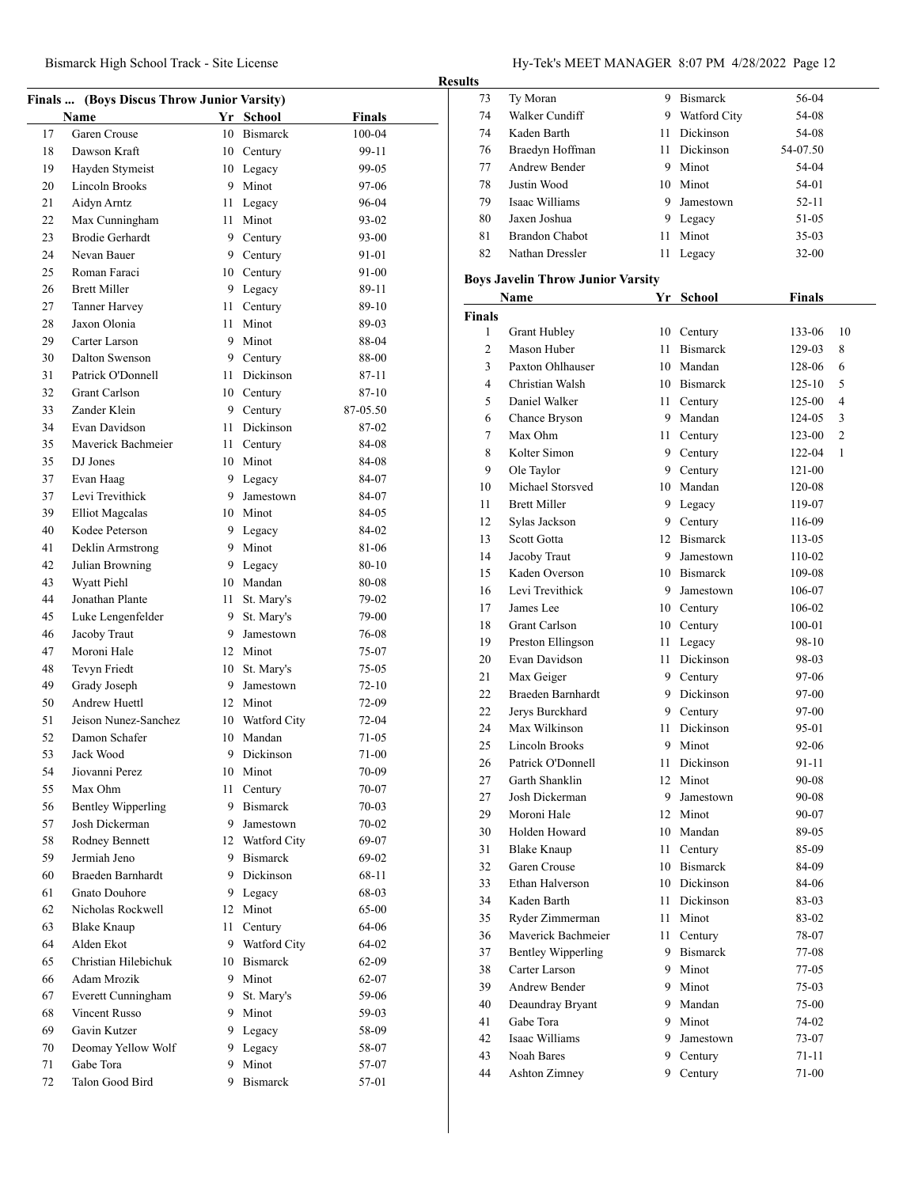# Bismarck High School Track - Site License Hy-Tek's MEET MANAGER 8:07 PM 4/28/2022 Page 12

| Finals  (Boys Discus Throw Junior Varsity) |                                          |         |                               |                    |  |
|--------------------------------------------|------------------------------------------|---------|-------------------------------|--------------------|--|
|                                            | Name                                     |         | Yr School                     | <b>Finals</b>      |  |
| 17                                         | Garen Crouse                             |         | 10 Bismarck                   | 100-04             |  |
| 18                                         | Dawson Kraft                             |         | 10 Century                    | 99-11              |  |
| 19                                         | Hayden Stymeist                          |         | 10 Legacy                     | 99-05              |  |
| 20                                         | Lincoln Brooks                           |         | 9 Minot                       | 97-06              |  |
| 21                                         | Aidyn Arntz                              | 11      | Legacy                        | 96-04              |  |
| 22                                         | Max Cunningham                           | 11 -    | Minot                         | 93-02              |  |
| 23                                         | <b>Brodie Gerhardt</b>                   |         | 9 Century                     | 93-00              |  |
| 24                                         | Nevan Bauer                              |         | 9 Century                     | 91-01              |  |
| 25                                         | Roman Faraci                             |         | 10 Century                    | 91-00              |  |
| 26                                         | <b>Brett Miller</b>                      |         | 9 Legacy                      | 89-11              |  |
| 27                                         | Tanner Harvey                            |         | 11 Century                    | 89-10              |  |
| 28                                         | Jaxon Olonia                             |         | 11 Minot                      | 89-03              |  |
| 29                                         | Carter Larson                            |         | 9 Minot                       | 88-04              |  |
| 30                                         | Dalton Swenson                           |         | 9 Century                     | 88-00              |  |
| 31                                         | Patrick O'Donnell                        | 11      | Dickinson                     | 87-11              |  |
| 32                                         | Grant Carlson                            |         | 10 Century                    | $87 - 10$          |  |
| 33                                         | Zander Klein                             |         | 9 Century                     | 87-05.50           |  |
| 34                                         | Evan Davidson                            | 11      | Dickinson                     | 87-02              |  |
| 35                                         | Maverick Bachmeier                       | 11 -    | Century                       | 84-08              |  |
| 35                                         | DJ Jones                                 |         | 10 Minot                      | 84-08              |  |
| 37                                         | Evan Haag                                |         | 9 Legacy                      | 84-07              |  |
| 37                                         | Levi Trevithick                          |         | 9 Jamestown                   | 84-07              |  |
| 39                                         |                                          |         | 10 Minot                      | 84-05              |  |
| 40                                         | <b>Elliot Magcalas</b><br>Kodee Peterson |         |                               | 84-02              |  |
| 41                                         |                                          |         | 9 Legacy<br>9 Minot           | 81-06              |  |
|                                            | Deklin Armstrong                         |         |                               |                    |  |
| 42<br>43                                   | Julian Browning                          |         | 9 Legacy                      | 80-10              |  |
|                                            | Wyatt Piehl                              |         | 10 Mandan                     | 80-08              |  |
| 44                                         | Jonathan Plante                          | 11      | St. Mary's                    | 79-02              |  |
| 45<br>46                                   | Luke Lengenfelder                        | 9<br>9  | St. Mary's<br>Jamestown       | 79-00              |  |
|                                            | Jacoby Traut<br>Moroni Hale              |         |                               | 76-08              |  |
| 47<br>48                                   |                                          |         | 12 Minot                      | 75-07              |  |
| 49                                         | Tevyn Friedt<br>Grady Joseph             | 10<br>9 | St. Mary's<br>Jamestown       | 75-05<br>$72 - 10$ |  |
| 50                                         | <b>Andrew Huettl</b>                     |         |                               |                    |  |
|                                            |                                          |         | 12 Minot                      | 72-09              |  |
| 51<br>52                                   | Jeison Nunez-Sanchez<br>Damon Schafer    |         | 10 Watford City<br>10 Mandan  | $72-04$<br>71-05   |  |
| 53                                         | Jack Wood                                | 9       | Dickinson                     |                    |  |
|                                            |                                          |         |                               | 71-00              |  |
| 54                                         | Jiovanni Perez<br>Max Ohm                |         | 10 Minot                      | 70-09              |  |
| 55<br>56                                   | <b>Bentley Wipperling</b>                | 11      | Century<br>9 Bismarck         | 70-07<br>70-03     |  |
| 57                                         | Josh Dickerman                           | 9       | Jamestown                     | 70-02              |  |
| 58                                         | Rodney Bennett                           |         | 12 Watford City               | 69-07              |  |
| 59                                         | Jermiah Jeno                             |         | 9 Bismarck                    | 69-02              |  |
|                                            | Braeden Barnhardt                        |         | 9 Dickinson                   | 68-11              |  |
| 60<br>61                                   | <b>Gnato Douhore</b>                     |         |                               |                    |  |
|                                            |                                          |         | 9 Legacy<br>12 Minot          | 68-03              |  |
| 62                                         | Nicholas Rockwell                        |         |                               | 65-00<br>64-06     |  |
| 63<br>64                                   | <b>Blake Knaup</b><br>Alden Ekot         | 11      | Century                       | 64-02              |  |
|                                            | Christian Hilebichuk                     |         | 9 Watford City<br>10 Bismarck | 62-09              |  |
| 65                                         |                                          |         |                               |                    |  |
| 66                                         | Adam Mrozik                              | 9.      | 9 Minot                       | 62-07              |  |
| 67                                         | Everett Cunningham<br>Vincent Russo      | 9.      | St. Mary's<br>Minot           | 59-06              |  |
| 68                                         |                                          |         |                               | 59-03              |  |
| 69<br>70                                   | Gavin Kutzer                             | 9       | Legacy                        | 58-09              |  |
| 71                                         | Deomay Yellow Wolf<br>Gabe Tora          | 9.<br>9 | Legacy<br>Minot               | 58-07<br>57-07     |  |
| 72                                         | Talon Good Bird                          | 9       | <b>Bismarck</b>               | 57-01              |  |
|                                            |                                          |         |                               |                    |  |
|                                            |                                          |         |                               |                    |  |

| <b>Results</b> |                                          |      |                  |               |    |  |
|----------------|------------------------------------------|------|------------------|---------------|----|--|
| 73             | Ty Moran                                 |      | 9 Bismarck       | 56-04         |    |  |
| 74             | Walker Cundiff                           |      | 9 Watford City   | 54-08         |    |  |
| 74             | Kaden Barth                              | 11   | Dickinson        | 54-08         |    |  |
| 76             | Braedyn Hoffman                          |      | 11 Dickinson     | 54-07.50      |    |  |
| 77             | Andrew Bender                            |      | 9 Minot          | 54-04         |    |  |
| 78             | Justin Wood                              |      | 10 Minot         | 54-01         |    |  |
| 79             | Isaac Williams                           | 9    | Jamestown        | 52-11         |    |  |
| 80             | Jaxen Joshua                             |      | 9 Legacy         | 51-05         |    |  |
| 81             | <b>Brandon Chabot</b>                    | 11   | Minot            | $35-03$       |    |  |
| 82             | Nathan Dressler                          | 11   | Legacy           | $32 - 00$     |    |  |
|                |                                          |      |                  |               |    |  |
|                | <b>Boys Javelin Throw Junior Varsity</b> |      |                  |               |    |  |
|                | Name                                     |      | Yr School        | <b>Finals</b> |    |  |
| <b>Finals</b>  |                                          |      |                  |               |    |  |
| 1              | Grant Hubley                             |      | 10 Century       | 133-06        | 10 |  |
| 2              | Mason Huber                              |      | 11 Bismarck      | 129-03        | 8  |  |
| 3              | Paxton Ohlhauser                         |      | 10 Mandan        | 128-06        | 6  |  |
| 4              | Christian Walsh                          |      | 10 Bismarck      | $125 - 10$    | 5  |  |
| 5              | Daniel Walker                            |      | 11 Century       | 125-00        | 4  |  |
| 6              | Chance Bryson                            |      | 9 Mandan         | 124-05        | 3  |  |
| 7              | Max Ohm                                  | 11   | Century          | 123-00        | 2  |  |
| 8              | Kolter Simon                             |      | 9 Century        | 122-04        | 1  |  |
| 9              | Ole Taylor                               |      | 9 Century        | 121-00        |    |  |
| 10             | Michael Storsved                         |      | 10 Mandan        | 120-08        |    |  |
| 11             | <b>Brett Miller</b>                      |      | 9 Legacy         | 119-07        |    |  |
| 12             | Sylas Jackson                            |      | 9 Century        | 116-09        |    |  |
| 13             | Scott Gotta                              |      | 12 Bismarck      | 113-05        |    |  |
| 14             | Jacoby Traut                             |      | 9 Jamestown      | 110-02        |    |  |
| 15             | Kaden Overson                            |      | 10 Bismarck      | 109-08        |    |  |
| 16             | Levi Trevithick                          | 9    | Jamestown        | 106-07        |    |  |
| 17             | James Lee                                |      | 10 Century       | 106-02        |    |  |
| 18             | <b>Grant Carlson</b>                     |      | 10 Century       | 100-01        |    |  |
| 19             | Preston Ellingson                        | 11   | Legacy           | 98-10         |    |  |
| 20             | Evan Davidson                            | 11   | <b>Dickinson</b> | 98-03         |    |  |
| 21             | Max Geiger                               |      | 9 Century        | 97-06         |    |  |
| 22             | Braeden Barnhardt                        |      | 9 Dickinson      | 97-00         |    |  |
| 22             | Jerys Burckhard                          |      | 9 Century        | 97-00         |    |  |
| 24             | Max Wilkinson                            | 11   | <b>Dickinson</b> | 95-01         |    |  |
| 25             | Lincoln Brooks                           |      | 9 Minot          | 92-06         |    |  |
| 26             | Patrick O'Donnell                        |      | 11 Dickinson     | 91-11         |    |  |
| 27             | Garth Shanklin                           |      | 12 Minot         | 90-08         |    |  |
| 27             | Josh Dickerman                           | 9    | Jamestown        | 90-08         |    |  |
| 29             | Moroni Hale                              | 12   | Minot            | 90-07         |    |  |
| 30             | Holden Howard                            | 10   | Mandan           | 89-05         |    |  |
| 31             | <b>Blake Knaup</b>                       | 11   | Century          | 85-09         |    |  |
| 32             | Garen Crouse                             |      | 10 Bismarck      | 84-09         |    |  |
| 33             | Ethan Halverson                          |      | 10 Dickinson     | 84-06         |    |  |
| 34             | Kaden Barth                              |      | 11 Dickinson     | 83-03         |    |  |
| 35             | Ryder Zimmerman                          | 11   | Minot            | 83-02         |    |  |
| 36             | Maverick Bachmeier                       | 11 - | Century          | 78-07         |    |  |
| 37             | <b>Bentley Wipperling</b>                |      | 9 Bismarck       | 77-08         |    |  |
| 38             | Carter Larson                            |      | 9 Minot          | 77-05         |    |  |
| 39             | <b>Andrew Bender</b>                     | 9    | Minot            | 75-03         |    |  |
| 40             | Deaundray Bryant                         | 9    | Mandan           | 75-00         |    |  |
| 41             | Gabe Tora                                | 9.   | Minot            | 74-02         |    |  |
| 42             | Isaac Williams                           | 9.   | Jamestown        | 73-07         |    |  |
| 43             | Noah Bares                               | 9.   | Century          | 71-11         |    |  |
| 44             | Ashton Zimney                            | 9.   | Century          | 71-00         |    |  |